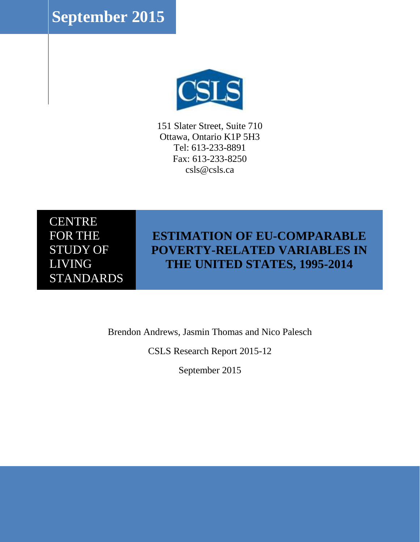**September 2015**



151 Slater Street, Suite 710 Ottawa, Ontario K1P 5H3 Tel: 613-233-8891 Fax: 613-233-8250 csls@csls.ca

**CENTRE** FOR THE STUDY OF LIVING **STANDARDS** 

**ESTIMATION OF EU-COMPARABLE POVERTY-RELATED VARIABLES IN THE UNITED STATES, 1995-2014**

Brendon Andrews, Jasmin Thomas and Nico Palesch

CSLS Research Report 2015-12

September 2015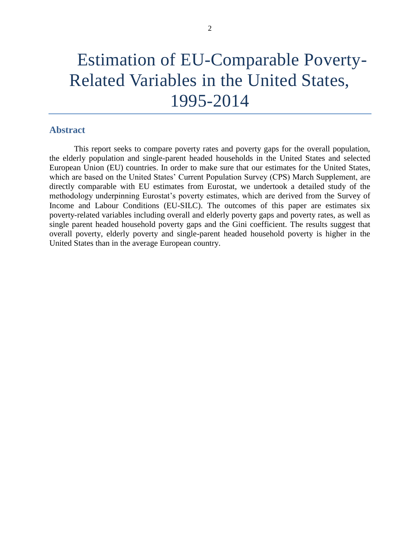# Estimation of EU-Comparable Poverty-Related Variables in the United States, 1995-2014

### <span id="page-1-0"></span>**Abstract**

This report seeks to compare poverty rates and poverty gaps for the overall population, the elderly population and single-parent headed households in the United States and selected European Union (EU) countries. In order to make sure that our estimates for the United States, which are based on the United States' Current Population Survey (CPS) March Supplement, are directly comparable with EU estimates from Eurostat, we undertook a detailed study of the methodology underpinning Eurostat's poverty estimates, which are derived from the Survey of Income and Labour Conditions (EU-SILC). The outcomes of this paper are estimates six poverty-related variables including overall and elderly poverty gaps and poverty rates, as well as single parent headed household poverty gaps and the Gini coefficient. The results suggest that overall poverty, elderly poverty and single-parent headed household poverty is higher in the United States than in the average European country.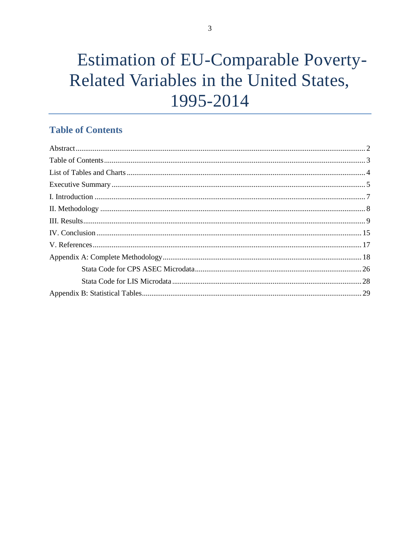# Estimation of EU-Comparable Poverty-Related Variables in the United States, 1995-2014

## <span id="page-2-0"></span>**Table of Contents**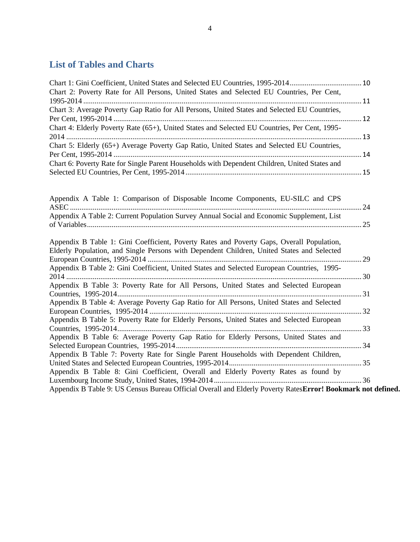## <span id="page-3-0"></span>**List of Tables and Charts**

| Chart 2: Poverty Rate for All Persons, United States and Selected EU Countries, Per Cent,                                                                                                                                                                                             |  |
|---------------------------------------------------------------------------------------------------------------------------------------------------------------------------------------------------------------------------------------------------------------------------------------|--|
|                                                                                                                                                                                                                                                                                       |  |
| Chart 3: Average Poverty Gap Ratio for All Persons, United States and Selected EU Countries,                                                                                                                                                                                          |  |
| Chart 4: Elderly Poverty Rate (65+), United States and Selected EU Countries, Per Cent, 1995-                                                                                                                                                                                         |  |
| Chart 5: Elderly (65+) Average Poverty Gap Ratio, United States and Selected EU Countries,                                                                                                                                                                                            |  |
| Chart 6: Poverty Rate for Single Parent Households with Dependent Children, United States and                                                                                                                                                                                         |  |
| Appendix A Table 1: Comparison of Disposable Income Components, EU-SILC and CPS                                                                                                                                                                                                       |  |
| Appendix A Table 2: Current Population Survey Annual Social and Economic Supplement, List                                                                                                                                                                                             |  |
| Appendix B Table 1: Gini Coefficient, Poverty Rates and Poverty Gaps, Overall Population,<br>Elderly Population, and Single Persons with Dependent Children, United States and Selected<br>Appendix B Table 2: Gini Coefficient, United States and Selected European Countries, 1995- |  |
| Appendix B Table 3: Poverty Rate for All Persons, United States and Selected European                                                                                                                                                                                                 |  |
| Appendix B Table 4: Average Poverty Gap Ratio for All Persons, United States and Selected                                                                                                                                                                                             |  |
| Appendix B Table 5: Poverty Rate for Elderly Persons, United States and Selected European                                                                                                                                                                                             |  |
| Appendix B Table 6: Average Poverty Gap Ratio for Elderly Persons, United States and                                                                                                                                                                                                  |  |
| Appendix B Table 7: Poverty Rate for Single Parent Households with Dependent Children,                                                                                                                                                                                                |  |
| Appendix B Table 8: Gini Coefficient, Overall and Elderly Poverty Rates as found by<br>Appendix B Table 9: US Census Bureau Official Overall and Elderly Poverty Rates Error! Bookmark not defined.                                                                                   |  |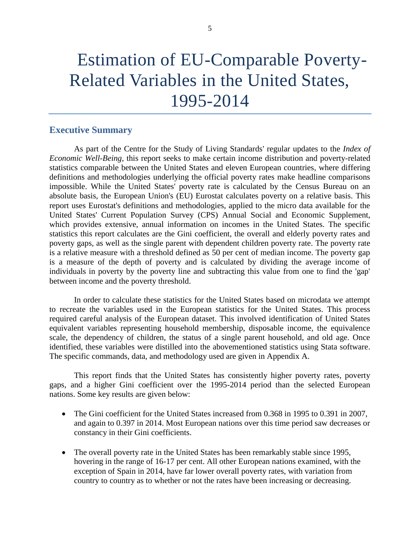# Estimation of EU-Comparable Poverty-Related Variables in the United States, 1995-2014

## <span id="page-4-0"></span>**Executive Summary**

As part of the Centre for the Study of Living Standards' regular updates to the *Index of Economic Well-Being*, this report seeks to make certain income distribution and poverty-related statistics comparable between the United States and eleven European countries, where differing definitions and methodologies underlying the official poverty rates make headline comparisons impossible. While the United States' poverty rate is calculated by the Census Bureau on an absolute basis, the European Union's (EU) Eurostat calculates poverty on a relative basis. This report uses Eurostat's definitions and methodologies, applied to the micro data available for the United States' Current Population Survey (CPS) Annual Social and Economic Supplement, which provides extensive, annual information on incomes in the United States. The specific statistics this report calculates are the Gini coefficient, the overall and elderly poverty rates and poverty gaps, as well as the single parent with dependent children poverty rate. The poverty rate is a relative measure with a threshold defined as 50 per cent of median income. The poverty gap is a measure of the depth of poverty and is calculated by dividing the average income of individuals in poverty by the poverty line and subtracting this value from one to find the 'gap' between income and the poverty threshold.

In order to calculate these statistics for the United States based on microdata we attempt to recreate the variables used in the European statistics for the United States. This process required careful analysis of the European dataset. This involved identification of United States equivalent variables representing household membership, disposable income, the equivalence scale, the dependency of children, the status of a single parent household, and old age. Once identified, these variables were distilled into the abovementioned statistics using Stata software. The specific commands, data, and methodology used are given in Appendix A.

This report finds that the United States has consistently higher poverty rates, poverty gaps, and a higher Gini coefficient over the 1995-2014 period than the selected European nations. Some key results are given below:

- The Gini coefficient for the United States increased from 0.368 in 1995 to 0.391 in 2007, and again to 0.397 in 2014. Most European nations over this time period saw decreases or constancy in their Gini coefficients.
- The overall poverty rate in the United States has been remarkably stable since 1995, hovering in the range of 16-17 per cent. All other European nations examined, with the exception of Spain in 2014, have far lower overall poverty rates, with variation from country to country as to whether or not the rates have been increasing or decreasing.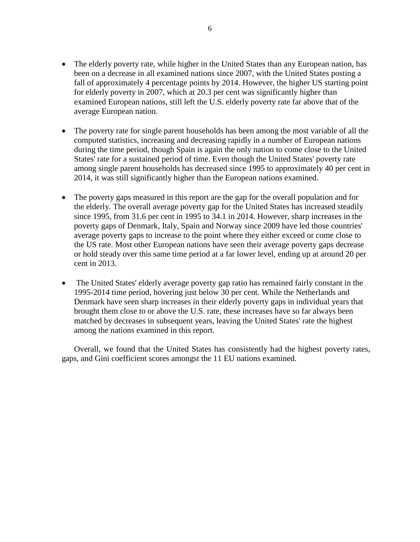- The elderly poverty rate, while higher in the United States than any European nation, has been on a decrease in all examined nations since 2007, with the United States posting a fall of approximately 4 percentage points by 2014. However, the higher US starting point for elderly poverty in 2007, which at 20.3 per cent was significantly higher than examined European nations, still left the U.S. elderly poverty rate far above that of the average European nation.
- The poverty rate for single parent households has been among the most variable of all the computed statistics, increasing and decreasing rapidly in a number of European nations during the time period, though Spain is again the only nation to come close to the United States' rate for a sustained period of time. Even though the United States' poverty rate among single parent households has decreased since 1995 to approximately 40 per cent in 2014, it was still significantly higher than the European nations examined.
- The poverty gaps measured in this report are the gap for the overall population and for the elderly. The overall average poverty gap for the United States has increased steadily since 1995, from 31.6 per cent in 1995 to 34.1 in 2014. However, sharp increases in the poverty gaps of Denmark, Italy, Spain and Norway since 2009 have led those countries' average poverty gaps to increase to the point where they either exceed or come close to the US rate. Most other European nations have seen their average poverty gaps decrease or hold steady over this same time period at a far lower level, ending up at around 20 per cent in 2013.
- The United States' elderly average poverty gap ratio has remained fairly constant in the 1995-2014 time period, hovering just below 30 per cent. While the Netherlands and Denmark have seen sharp increases in their elderly poverty gaps in individual years that brought them close to or above the U.S. rate, these increases have so far always been matched by decreases in subsequent years, leaving the United States' rate the highest among the nations examined in this report.

Overall, we found that the United States has consistently had the highest poverty rates, gaps, and Gini coefficient scores amongst the 11 EU nations examined.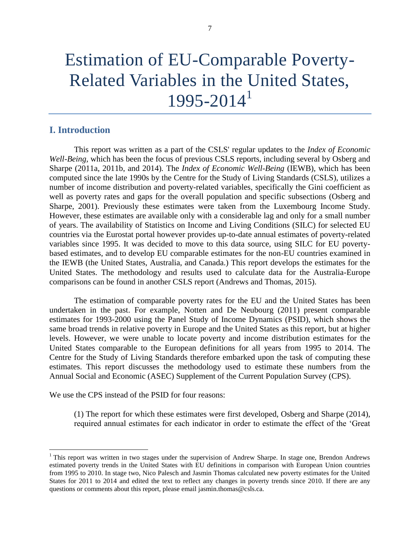# Estimation of EU-Comparable Poverty-Related Variables in the United States,  $1995 - 2014$ <sup>1</sup>

## <span id="page-6-0"></span>**I. Introduction**

 $\overline{a}$ 

This report was written as a part of the CSLS' regular updates to the *Index of Economic Well-Being,* which has been the focus of previous CSLS reports, including several by Osberg and Sharpe (2011a, 2011b, and 2014)*.* The *Index of Economic Well-Being* (IEWB), which has been computed since the late 1990s by the Centre for the Study of Living Standards (CSLS), utilizes a number of income distribution and poverty-related variables, specifically the Gini coefficient as well as poverty rates and gaps for the overall population and specific subsections (Osberg and Sharpe, 2001). Previously these estimates were taken from the Luxembourg Income Study. However, these estimates are available only with a considerable lag and only for a small number of years. The availability of Statistics on Income and Living Conditions (SILC) for selected EU countries via the Eurostat portal however provides up-to-date annual estimates of poverty-related variables since 1995. It was decided to move to this data source, using SILC for EU povertybased estimates, and to develop EU comparable estimates for the non-EU countries examined in the IEWB (the United States, Australia, and Canada.) This report develops the estimates for the United States. The methodology and results used to calculate data for the Australia-Europe comparisons can be found in another CSLS report (Andrews and Thomas, 2015).

The estimation of comparable poverty rates for the EU and the United States has been undertaken in the past. For example, Notten and De Neubourg (2011) present comparable estimates for 1993-2000 using the Panel Study of Income Dynamics (PSID), which shows the same broad trends in relative poverty in Europe and the United States as this report, but at higher levels. However, we were unable to locate poverty and income distribution estimates for the United States comparable to the European definitions for all years from 1995 to 2014. The Centre for the Study of Living Standards therefore embarked upon the task of computing these estimates. This report discusses the methodology used to estimate these numbers from the Annual Social and Economic (ASEC) Supplement of the Current Population Survey (CPS).

We use the CPS instead of the PSID for four reasons:

(1) The report for which these estimates were first developed, Osberg and Sharpe (2014), required annual estimates for each indicator in order to estimate the effect of the 'Great

<sup>&</sup>lt;sup>1</sup> This report was written in two stages under the supervision of Andrew Sharpe. In stage one, Brendon Andrews estimated poverty trends in the United States with EU definitions in comparison with European Union countries from 1995 to 2010. In stage two, Nico Palesch and Jasmin Thomas calculated new poverty estimates for the United States for 2011 to 2014 and edited the text to reflect any changes in poverty trends since 2010. If there are any questions or comments about this report, please email jasmin.thomas@csls.ca.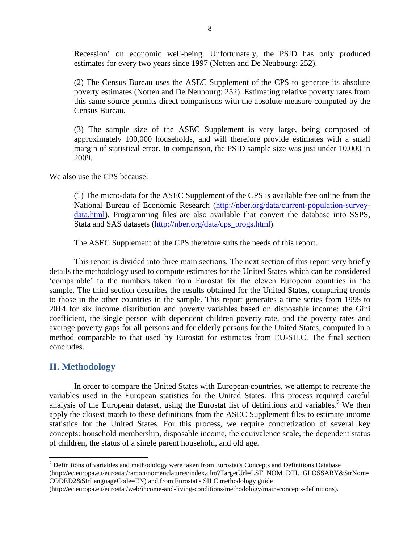Recession' on economic well-being. Unfortunately, the PSID has only produced estimates for every two years since 1997 (Notten and De Neubourg: 252).

(2) The Census Bureau uses the ASEC Supplement of the CPS to generate its absolute poverty estimates (Notten and De Neubourg: 252). Estimating relative poverty rates from this same source permits direct comparisons with the absolute measure computed by the Census Bureau.

(3) The sample size of the ASEC Supplement is very large, being composed of approximately 100,000 households, and will therefore provide estimates with a small margin of statistical error. In comparison, the PSID sample size was just under 10,000 in 2009.

We also use the CPS because:

(1) The micro-data for the ASEC Supplement of the CPS is available free online from the National Bureau of Economic Research [\(http://nber.org/data/current-population-survey](http://nber.org/data/current-population-survey-data.html)[data.html\)](http://nber.org/data/current-population-survey-data.html). Programming files are also available that convert the database into SSPS, Stata and SAS datasets [\(http://nber.org/data/cps\\_progs.html](http://nber.org/data/cps_progs.html)).

The ASEC Supplement of the CPS therefore suits the needs of this report.

This report is divided into three main sections. The next section of this report very briefly details the methodology used to compute estimates for the United States which can be considered 'comparable' to the numbers taken from Eurostat for the eleven European countries in the sample. The third section describes the results obtained for the United States, comparing trends to those in the other countries in the sample. This report generates a time series from 1995 to 2014 for six income distribution and poverty variables based on disposable income: the Gini coefficient, the single person with dependent children poverty rate, and the poverty rates and average poverty gaps for all persons and for elderly persons for the United States, computed in a method comparable to that used by Eurostat for estimates from EU-SILC. The final section concludes.

## <span id="page-7-0"></span>**II. Methodology**

 $\overline{\phantom{a}}$ 

In order to compare the United States with European countries, we attempt to recreate the variables used in the European statistics for the United States. This process required careful analysis of the European dataset, using the Eurostat list of definitions and variables. <sup>2</sup> We then apply the closest match to these definitions from the ASEC Supplement files to estimate income statistics for the United States. For this process, we require concretization of several key concepts: household membership, disposable income, the equivalence scale, the dependent status of children, the status of a single parent household, and old age.

<sup>&</sup>lt;sup>2</sup> Definitions of variables and methodology were taken from Eurostat's Concepts and Definitions Database

<sup>(</sup>http://ec.europa.eu/eurostat/ramon/nomenclatures/index.cfm?TargetUrl=LST\_NOM\_DTL\_GLOSSARY&StrNom= CODED2&StrLanguageCode=EN) and from Eurostat's SILC methodology guide

<sup>(</sup>http://ec.europa.eu/eurostat/web/income-and-living-conditions/methodology/main-concepts-definitions).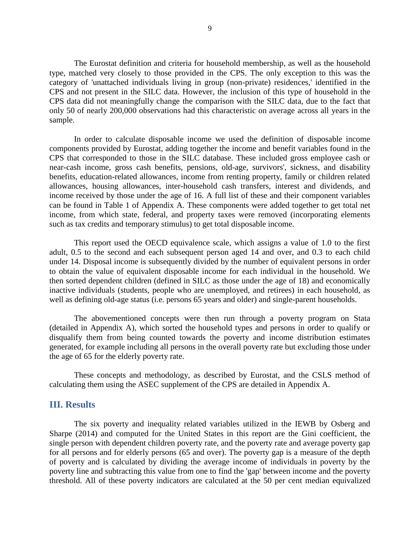The Eurostat definition and criteria for household membership, as well as the household type, matched very closely to those provided in the CPS. The only exception to this was the category of 'unattached individuals living in group (non-private) residences,' identified in the CPS and not present in the SILC data. However, the inclusion of this type of household in the CPS data did not meaningfully change the comparison with the SILC data, due to the fact that only 50 of nearly 200,000 observations had this characteristic on average across all years in the sample.

In order to calculate disposable income we used the definition of disposable income components provided by Eurostat, adding together the income and benefit variables found in the CPS that corresponded to those in the SILC database. These included gross employee cash or near-cash income, gross cash benefits, pensions, old-age, survivors', sickness, and disability benefits, education-related allowances, income from renting property, family or children related allowances, housing allowances, inter-household cash transfers, interest and dividends, and income received by those under the age of 16. A full list of these and their component variables can be found in Table 1 of Appendix A. These components were added together to get total net income, from which state, federal, and property taxes were removed (incorporating elements such as tax credits and temporary stimulus) to get total disposable income.

This report used the OECD equivalence scale, which assigns a value of 1.0 to the first adult, 0.5 to the second and each subsequent person aged 14 and over, and 0.3 to each child under 14. Disposal income is subsequently divided by the number of equivalent persons in order to obtain the value of equivalent disposable income for each individual in the household. We then sorted dependent children (defined in SILC as those under the age of 18) and economically inactive individuals (students, people who are unemployed, and retirees) in each household, as well as defining old-age status (i.e. persons 65 years and older) and single-parent households.

The abovementioned concepts were then run through a poverty program on Stata (detailed in Appendix A), which sorted the household types and persons in order to qualify or disqualify them from being counted towards the poverty and income distribution estimates generated, for example including all persons in the overall poverty rate but excluding those under the age of 65 for the elderly poverty rate.

These concepts and methodology, as described by Eurostat, and the CSLS method of calculating them using the ASEC supplement of the CPS are detailed in Appendix A.

### <span id="page-8-0"></span>**III. Results**

The six poverty and inequality related variables utilized in the IEWB by Osberg and Sharpe (2014) and computed for the United States in this report are the Gini coefficient, the single person with dependent children poverty rate, and the poverty rate and average poverty gap for all persons and for elderly persons (65 and over). The poverty gap is a measure of the depth of poverty and is calculated by dividing the average income of individuals in poverty by the poverty line and subtracting this value from one to find the 'gap' between income and the poverty threshold. All of these poverty indicators are calculated at the 50 per cent median equivalized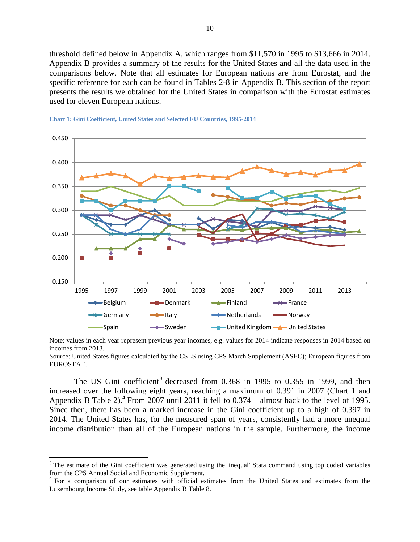threshold defined below in Appendix A, which ranges from \$11,570 in 1995 to \$13,666 in 2014. Appendix B provides a summary of the results for the United States and all the data used in the comparisons below. Note that all estimates for European nations are from Eurostat, and the specific reference for each can be found in Tables 2-8 in Appendix B. This section of the report presents the results we obtained for the United States in comparison with the Eurostat estimates used for eleven European nations.



<span id="page-9-0"></span>

Source: United States figures calculated by the CSLS using CPS March Supplement (ASEC); European figures from EUROSTAT.

The US Gini coefficient<sup>3</sup> decreased from  $0.368$  in 1995 to  $0.355$  in 1999, and then increased over the following eight years, reaching a maximum of 0.391 in 2007 (Chart 1 and Appendix B Table 2).<sup>4</sup> From 2007 until 2011 it fell to 0.374 – almost back to the level of 1995. Since then, there has been a marked increase in the Gini coefficient up to a high of 0.397 in 2014. The United States has, for the measured span of years, consistently had a more unequal income distribution than all of the European nations in the sample. Furthermore, the income

Note: values in each year represent previous year incomes, e.g. values for 2014 indicate responses in 2014 based on incomes from 2013.

<sup>&</sup>lt;sup>3</sup> The estimate of the Gini coefficient was generated using the 'inequal' Stata command using top coded variables from the CPS Annual Social and Economic Supplement.

<sup>&</sup>lt;sup>4</sup> For a comparison of our estimates with official estimates from the United States and estimates from the Luxembourg Income Study, see table Appendix B Table 8.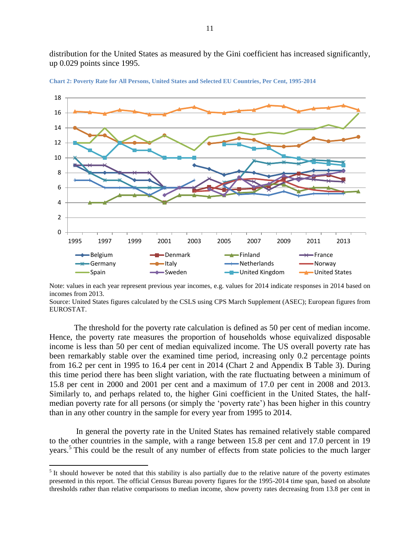distribution for the United States as measured by the Gini coefficient has increased significantly, up 0.029 points since 1995.



<span id="page-10-0"></span>**Chart 2: Poverty Rate for All Persons, United States and Selected EU Countries, Per Cent, 1995-2014**

Note: values in each year represent previous year incomes, e.g. values for 2014 indicate responses in 2014 based on incomes from 2013.

Source: United States figures calculated by the CSLS using CPS March Supplement (ASEC); European figures from EUROSTAT.

The threshold for the poverty rate calculation is defined as 50 per cent of median income. Hence, the poverty rate measures the proportion of households whose equivalized disposable income is less than 50 per cent of median equivalized income. The US overall poverty rate has been remarkably stable over the examined time period, increasing only 0.2 percentage points from 16.2 per cent in 1995 to 16.4 per cent in 2014 (Chart 2 and Appendix B Table 3). During this time period there has been slight variation, with the rate fluctuating between a minimum of 15.8 per cent in 2000 and 2001 per cent and a maximum of 17.0 per cent in 2008 and 2013. Similarly to, and perhaps related to, the higher Gini coefficient in the United States, the halfmedian poverty rate for all persons (or simply the 'poverty rate') has been higher in this country than in any other country in the sample for every year from 1995 to 2014.

In general the poverty rate in the United States has remained relatively stable compared to the other countries in the sample, with a range between 15.8 per cent and 17.0 percent in 19 years. 5 This could be the result of any number of effects from state policies to the much larger

 $<sup>5</sup>$  It should however be noted that this stability is also partially due to the relative nature of the poverty estimates</sup> presented in this report. The official Census Bureau poverty figures for the 1995-2014 time span, based on absolute thresholds rather than relative comparisons to median income, show poverty rates decreasing from 13.8 per cent in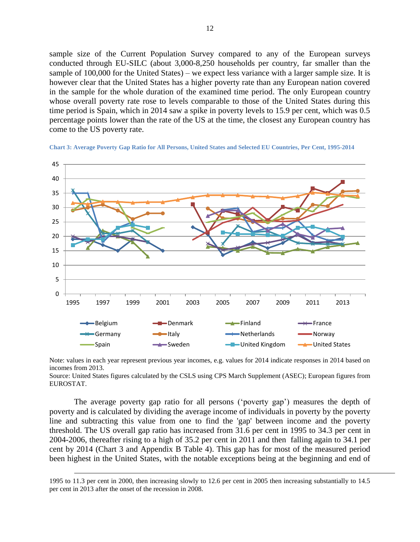sample size of the Current Population Survey compared to any of the European surveys conducted through EU-SILC (about 3,000-8,250 households per country, far smaller than the sample of 100,000 for the United States) – we expect less variance with a larger sample size. It is however clear that the United States has a higher poverty rate than any European nation covered in the sample for the whole duration of the examined time period. The only European country whose overall poverty rate rose to levels comparable to those of the United States during this time period is Spain, which in 2014 saw a spike in poverty levels to 15.9 per cent, which was 0.5 percentage points lower than the rate of the US at the time, the closest any European country has come to the US poverty rate.

<span id="page-11-0"></span>**Chart 3: Average Poverty Gap Ratio for All Persons, United States and Selected EU Countries, Per Cent, 1995-2014**



Note: values in each year represent previous year incomes, e.g. values for 2014 indicate responses in 2014 based on incomes from 2013.

Source: United States figures calculated by the CSLS using CPS March Supplement (ASEC); European figures from EUROSTAT.

The average poverty gap ratio for all persons ('poverty gap') measures the depth of poverty and is calculated by dividing the average income of individuals in poverty by the poverty line and subtracting this value from one to find the 'gap' between income and the poverty threshold. The US overall gap ratio has increased from 31.6 per cent in 1995 to 34.3 per cent in 2004-2006, thereafter rising to a high of 35.2 per cent in 2011 and then falling again to 34.1 per cent by 2014 (Chart 3 and Appendix B Table 4). This gap has for most of the measured period been highest in the United States, with the notable exceptions being at the beginning and end of

<sup>1995</sup> to 11.3 per cent in 2000, then increasing slowly to 12.6 per cent in 2005 then increasing substantially to 14.5 per cent in 2013 after the onset of the recession in 2008.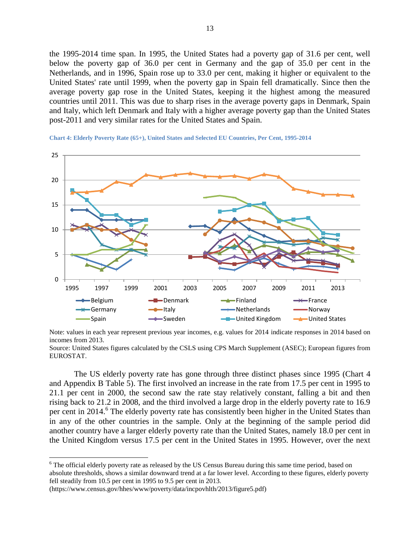the 1995-2014 time span. In 1995, the United States had a poverty gap of 31.6 per cent, well below the poverty gap of 36.0 per cent in Germany and the gap of 35.0 per cent in the Netherlands, and in 1996, Spain rose up to 33.0 per cent, making it higher or equivalent to the United States' rate until 1999, when the poverty gap in Spain fell dramatically. Since then the average poverty gap rose in the United States, keeping it the highest among the measured countries until 2011. This was due to sharp rises in the average poverty gaps in Denmark, Spain and Italy, which left Denmark and Italy with a higher average poverty gap than the United States post-2011 and very similar rates for the United States and Spain.



<span id="page-12-0"></span>**Chart 4: Elderly Poverty Rate (65+), United States and Selected EU Countries, Per Cent, 1995-2014**

Note: values in each year represent previous year incomes, e.g. values for 2014 indicate responses in 2014 based on incomes from 2013.

Source: United States figures calculated by the CSLS using CPS March Supplement (ASEC); European figures from EUROSTAT.

The US elderly poverty rate has gone through three distinct phases since 1995 (Chart 4 and Appendix B Table 5). The first involved an increase in the rate from 17.5 per cent in 1995 to 21.1 per cent in 2000, the second saw the rate stay relatively constant, falling a bit and then rising back to 21.2 in 2008, and the third involved a large drop in the elderly poverty rate to 16.9 per cent in 2014.<sup>6</sup> The elderly poverty rate has consistently been higher in the United States than in any of the other countries in the sample. Only at the beginning of the sample period did another country have a larger elderly poverty rate than the United States, namely 18.0 per cent in the United Kingdom versus 17.5 per cent in the United States in 1995. However, over the next

<sup>&</sup>lt;sup>6</sup> The official elderly poverty rate as released by the US Census Bureau during this same time period, based on absolute thresholds, shows a similar downward trend at a far lower level. According to these figures, elderly poverty fell steadily from 10.5 per cent in 1995 to 9.5 per cent in 2013.

<sup>(</sup>https://www.census.gov/hhes/www/poverty/data/incpovhlth/2013/figure5.pdf)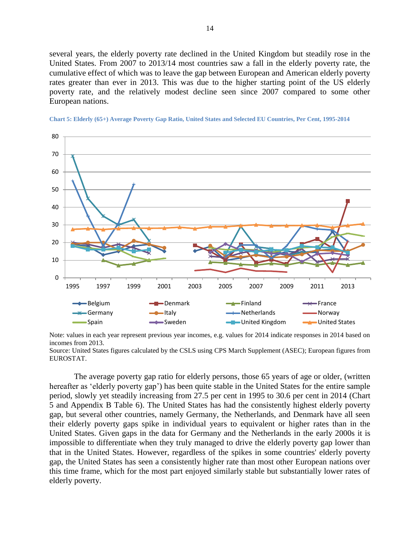several years, the elderly poverty rate declined in the United Kingdom but steadily rose in the United States. From 2007 to 2013/14 most countries saw a fall in the elderly poverty rate, the cumulative effect of which was to leave the gap between European and American elderly poverty rates greater than ever in 2013. This was due to the higher starting point of the US elderly poverty rate, and the relatively modest decline seen since 2007 compared to some other European nations.



#### <span id="page-13-0"></span>**Chart 5: Elderly (65+) Average Poverty Gap Ratio, United States and Selected EU Countries, Per Cent, 1995-2014**

Note: values in each year represent previous year incomes, e.g. values for 2014 indicate responses in 2014 based on incomes from 2013.

Source: United States figures calculated by the CSLS using CPS March Supplement (ASEC); European figures from EUROSTAT.

The average poverty gap ratio for elderly persons, those 65 years of age or older, (written hereafter as 'elderly poverty gap') has been quite stable in the United States for the entire sample period, slowly yet steadily increasing from 27.5 per cent in 1995 to 30.6 per cent in 2014 (Chart 5 and Appendix B Table 6). The United States has had the consistently highest elderly poverty gap, but several other countries, namely Germany, the Netherlands, and Denmark have all seen their elderly poverty gaps spike in individual years to equivalent or higher rates than in the United States. Given gaps in the data for Germany and the Netherlands in the early 2000s it is impossible to differentiate when they truly managed to drive the elderly poverty gap lower than that in the United States. However, regardless of the spikes in some countries' elderly poverty gap, the United States has seen a consistently higher rate than most other European nations over this time frame, which for the most part enjoyed similarly stable but substantially lower rates of elderly poverty.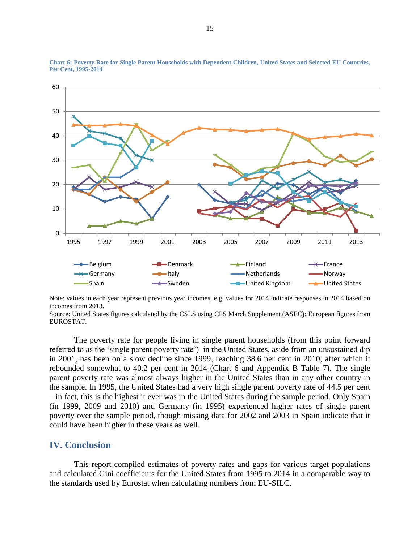

<span id="page-14-1"></span>**Chart 6: Poverty Rate for Single Parent Households with Dependent Children, United States and Selected EU Countries, Per Cent, 1995-2014**

Note: values in each year represent previous year incomes, e.g. values for 2014 indicate responses in 2014 based on incomes from 2013.

Source: United States figures calculated by the CSLS using CPS March Supplement (ASEC); European figures from EUROSTAT.

The poverty rate for people living in single parent households (from this point forward referred to as the 'single parent poverty rate') in the United States, aside from an unsustained dip in 2001, has been on a slow decline since 1999, reaching 38.6 per cent in 2010, after which it rebounded somewhat to 40.2 per cent in 2014 (Chart 6 and Appendix B Table 7). The single parent poverty rate was almost always higher in the United States than in any other country in the sample. In 1995, the United States had a very high single parent poverty rate of 44.5 per cent – in fact, this is the highest it ever was in the United States during the sample period. Only Spain (in 1999, 2009 and 2010) and Germany (in 1995) experienced higher rates of single parent poverty over the sample period, though missing data for 2002 and 2003 in Spain indicate that it could have been higher in these years as well.

### <span id="page-14-0"></span>**IV. Conclusion**

This report compiled estimates of poverty rates and gaps for various target populations and calculated Gini coefficients for the United States from 1995 to 2014 in a comparable way to the standards used by Eurostat when calculating numbers from EU-SILC.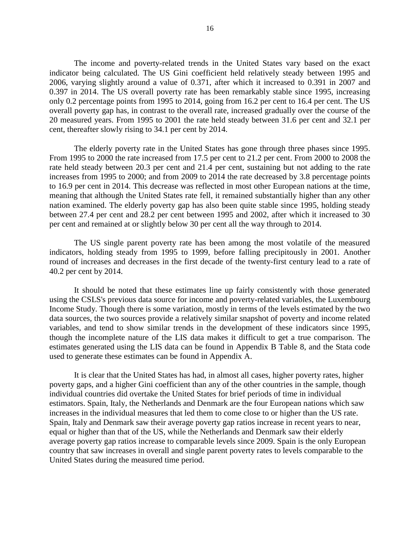The income and poverty-related trends in the United States vary based on the exact indicator being calculated. The US Gini coefficient held relatively steady between 1995 and 2006, varying slightly around a value of 0.371, after which it increased to 0.391 in 2007 and 0.397 in 2014. The US overall poverty rate has been remarkably stable since 1995, increasing only 0.2 percentage points from 1995 to 2014, going from 16.2 per cent to 16.4 per cent. The US overall poverty gap has, in contrast to the overall rate, increased gradually over the course of the 20 measured years. From 1995 to 2001 the rate held steady between 31.6 per cent and 32.1 per cent, thereafter slowly rising to 34.1 per cent by 2014.

The elderly poverty rate in the United States has gone through three phases since 1995. From 1995 to 2000 the rate increased from 17.5 per cent to 21.2 per cent. From 2000 to 2008 the rate held steady between 20.3 per cent and 21.4 per cent, sustaining but not adding to the rate increases from 1995 to 2000; and from 2009 to 2014 the rate decreased by 3.8 percentage points to 16.9 per cent in 2014. This decrease was reflected in most other European nations at the time, meaning that although the United States rate fell, it remained substantially higher than any other nation examined. The elderly poverty gap has also been quite stable since 1995, holding steady between 27.4 per cent and 28.2 per cent between 1995 and 2002, after which it increased to 30 per cent and remained at or slightly below 30 per cent all the way through to 2014.

The US single parent poverty rate has been among the most volatile of the measured indicators, holding steady from 1995 to 1999, before falling precipitously in 2001. Another round of increases and decreases in the first decade of the twenty-first century lead to a rate of 40.2 per cent by 2014.

It should be noted that these estimates line up fairly consistently with those generated using the CSLS's previous data source for income and poverty-related variables, the Luxembourg Income Study. Though there is some variation, mostly in terms of the levels estimated by the two data sources, the two sources provide a relatively similar snapshot of poverty and income related variables, and tend to show similar trends in the development of these indicators since 1995, though the incomplete nature of the LIS data makes it difficult to get a true comparison. The estimates generated using the LIS data can be found in Appendix B Table 8, and the Stata code used to generate these estimates can be found in Appendix A.

It is clear that the United States has had, in almost all cases, higher poverty rates, higher poverty gaps, and a higher Gini coefficient than any of the other countries in the sample, though individual countries did overtake the United States for brief periods of time in individual estimators. Spain, Italy, the Netherlands and Denmark are the four European nations which saw increases in the individual measures that led them to come close to or higher than the US rate. Spain, Italy and Denmark saw their average poverty gap ratios increase in recent years to near, equal or higher than that of the US, while the Netherlands and Denmark saw their elderly average poverty gap ratios increase to comparable levels since 2009. Spain is the only European country that saw increases in overall and single parent poverty rates to levels comparable to the United States during the measured time period.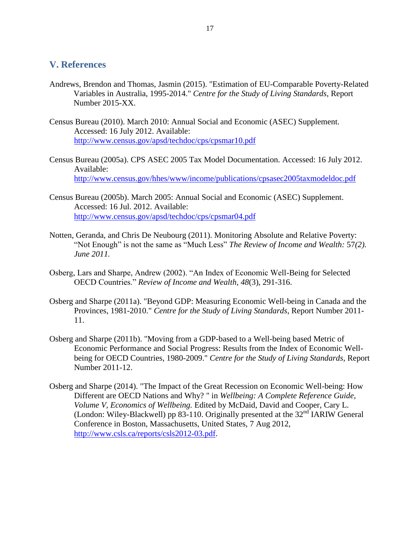## <span id="page-16-0"></span>**V. References**

- Andrews, Brendon and Thomas, Jasmin (2015). "Estimation of EU-Comparable Poverty-Related Variables in Australia, 1995-2014." *Centre for the Study of Living Standards*, Report Number 2015-XX.
- Census Bureau (2010). March 2010: Annual Social and Economic (ASEC) Supplement. Accessed: 16 July 2012. Available: <http://www.census.gov/apsd/techdoc/cps/cpsmar10.pdf>
- Census Bureau (2005a). CPS ASEC 2005 Tax Model Documentation. Accessed: 16 July 2012. Available: <http://www.census.gov/hhes/www/income/publications/cpsasec2005taxmodeldoc.pdf>
- Census Bureau (2005b). March 2005: Annual Social and Economic (ASEC) Supplement. Accessed: 16 Jul. 2012. Available: <http://www.census.gov/apsd/techdoc/cps/cpsmar04.pdf>
- Notten, Geranda, and Chris De Neubourg (2011). Monitoring Absolute and Relative Poverty: "Not Enough" is not the same as "Much Less" *The Review of Income and Wealth:* 57*(2). June 2011.*
- Osberg, Lars and Sharpe, Andrew (2002). "An Index of Economic Well-Being for Selected OECD Countries." *Review of Income and Wealth, 48*(3), 291-316.
- Osberg and Sharpe (2011a). "Beyond GDP: Measuring Economic Well-being in Canada and the Provinces, 1981-2010." *Centre for the Study of Living Standards*, Report Number 2011- 11.
- Osberg and Sharpe (2011b). "Moving from a GDP-based to a Well-being based Metric of Economic Performance and Social Progress: Results from the Index of Economic Wellbeing for OECD Countries, 1980-2009." *Centre for the Study of Living Standards*, Report Number 2011-12.
- Osberg and Sharpe (2014). "The Impact of the Great Recession on Economic Well-being: How Different are OECD Nations and Why? " in *Wellbeing: A Complete Reference Guide, Volume V, Economics of Wellbeing.* Edited by McDaid, David and Cooper, Cary L. (London: Wiley-Blackwell) pp 83-110. Originally presented at the  $32<sup>nd</sup>$  IARIW General Conference in Boston, Massachusetts, United States, 7 Aug 2012, [http://www.csls.ca/reports/csls2012-03.pdf.](http://www.csls.ca/reports/csls2012-03.pdf)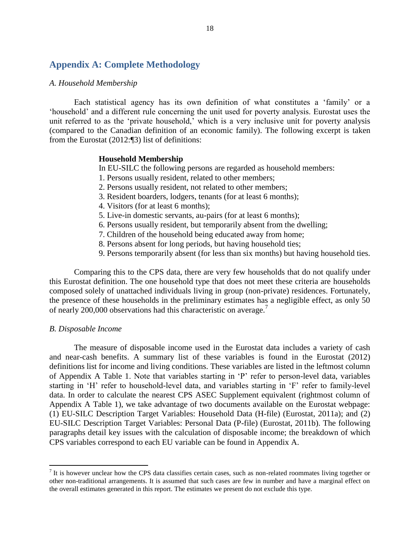## <span id="page-17-0"></span>**Appendix A: Complete Methodology**

#### *A. Household Membership*

Each statistical agency has its own definition of what constitutes a 'family' or a 'household' and a different rule concerning the unit used for poverty analysis. Eurostat uses the unit referred to as the 'private household,' which is a very inclusive unit for poverty analysis (compared to the Canadian definition of an economic family). The following excerpt is taken from the Eurostat (2012:¶3) list of definitions:

#### **Household Membership**

In EU-SILC the following persons are regarded as household members:

- 1. Persons usually resident, related to other members;
- 2. Persons usually resident, not related to other members;
- 3. Resident boarders, lodgers, tenants (for at least 6 months);
- 4. Visitors (for at least 6 months);
- 5. Live-in domestic servants, au-pairs (for at least 6 months);
- 6. Persons usually resident, but temporarily absent from the dwelling;
- 7. Children of the household being educated away from home;
- 8. Persons absent for long periods, but having household ties;
- 9. Persons temporarily absent (for less than six months) but having household ties.

Comparing this to the CPS data, there are very few households that do not qualify under this Eurostat definition. The one household type that does not meet these criteria are households composed solely of unattached individuals living in group (non-private) residences. Fortunately, the presence of these households in the preliminary estimates has a negligible effect, as only 50 of nearly 200,000 observations had this characteristic on average.<sup>7</sup>

#### *B. Disposable Income*

 $\overline{\phantom{a}}$ 

The measure of disposable income used in the Eurostat data includes a variety of cash and near-cash benefits. A summary list of these variables is found in the Eurostat (2012) definitions list for income and living conditions. These variables are listed in the leftmost column of Appendix A Table 1. Note that variables starting in 'P' refer to person-level data, variables starting in 'H' refer to household-level data, and variables starting in 'F' refer to family-level data. In order to calculate the nearest CPS ASEC Supplement equivalent (rightmost column of Appendix A Table 1), we take advantage of two documents available on the Eurostat webpage: (1) EU-SILC Description Target Variables: Household Data (H-file) (Eurostat, 2011a); and (2) EU-SILC Description Target Variables: Personal Data (P-file) (Eurostat, 2011b). The following paragraphs detail key issues with the calculation of disposable income; the breakdown of which CPS variables correspond to each EU variable can be found in Appendix A.

 $<sup>7</sup>$  It is however unclear how the CPS data classifies certain cases, such as non-related roommates living together or</sup> other non-traditional arrangements. It is assumed that such cases are few in number and have a marginal effect on the overall estimates generated in this report. The estimates we present do not exclude this type.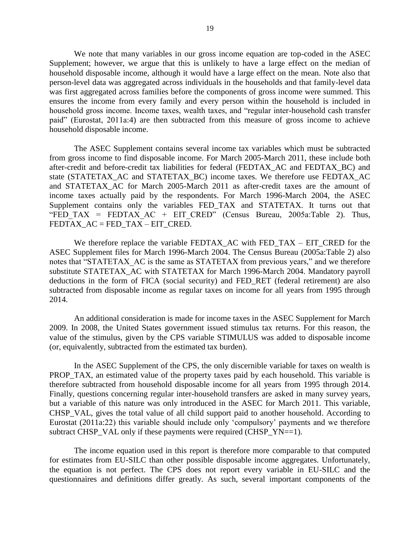We note that many variables in our gross income equation are top-coded in the ASEC Supplement; however, we argue that this is unlikely to have a large effect on the median of household disposable income, although it would have a large effect on the mean. Note also that person-level data was aggregated across individuals in the households and that family-level data was first aggregated across families before the components of gross income were summed. This ensures the income from every family and every person within the household is included in household gross income. Income taxes, wealth taxes, and "regular inter-household cash transfer paid" (Eurostat, 2011a:4) are then subtracted from this measure of gross income to achieve household disposable income.

The ASEC Supplement contains several income tax variables which must be subtracted from gross income to find disposable income. For March 2005-March 2011, these include both after-credit and before-credit tax liabilities for federal (FEDTAX\_AC and FEDTAX\_BC) and state (STATETAX\_AC and STATETAX\_BC) income taxes. We therefore use FEDTAX\_AC and STATETAX\_AC for March 2005-March 2011 as after-credit taxes are the amount of income taxes actually paid by the respondents. For March 1996-March 2004, the ASEC Supplement contains only the variables FED\_TAX and STATETAX. It turns out that "FED TAX = FEDTAX AC + EIT CRED" (Census Bureau, 2005a:Table 2). Thus, FEDTAX\_AC = FED\_TAX – EIT\_CRED.

We therefore replace the variable FEDTAX\_AC with FED\_TAX – EIT\_CRED for the ASEC Supplement files for March 1996-March 2004. The Census Bureau (2005a:Table 2) also notes that "STATETAX\_AC is the same as STATETAX from previous years," and we therefore substitute STATETAX\_AC with STATETAX for March 1996-March 2004. Mandatory payroll deductions in the form of FICA (social security) and FED\_RET (federal retirement) are also subtracted from disposable income as regular taxes on income for all years from 1995 through 2014.

An additional consideration is made for income taxes in the ASEC Supplement for March 2009. In 2008, the United States government issued stimulus tax returns. For this reason, the value of the stimulus, given by the CPS variable STIMULUS was added to disposable income (or, equivalently, subtracted from the estimated tax burden).

In the ASEC Supplement of the CPS, the only discernible variable for taxes on wealth is PROP TAX, an estimated value of the property taxes paid by each household. This variable is therefore subtracted from household disposable income for all years from 1995 through 2014. Finally, questions concerning regular inter-household transfers are asked in many survey years, but a variable of this nature was only introduced in the ASEC for March 2011. This variable, CHSP\_VAL, gives the total value of all child support paid to another household. According to Eurostat (2011a:22) this variable should include only 'compulsory' payments and we therefore subtract CHSP\_VAL only if these payments were required (CHSP\_YN==1).

The income equation used in this report is therefore more comparable to that computed for estimates from EU-SILC than other possible disposable income aggregates. Unfortunately, the equation is not perfect. The CPS does not report every variable in EU-SILC and the questionnaires and definitions differ greatly. As such, several important components of the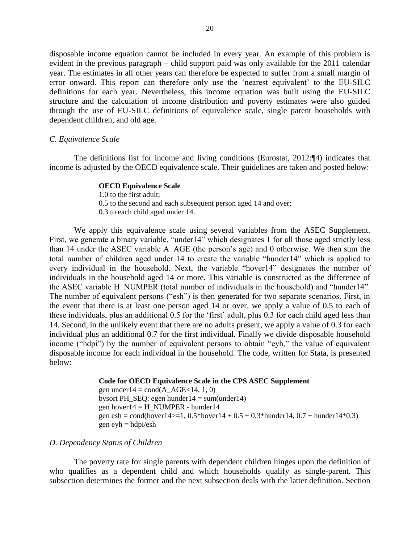disposable income equation cannot be included in every year. An example of this problem is evident in the previous paragraph – child support paid was only available for the 2011 calendar year. The estimates in all other years can therefore be expected to suffer from a small margin of error onward. This report can therefore only use the 'nearest equivalent' to the EU-SILC definitions for each year. Nevertheless, this income equation was built using the EU-SILC structure and the calculation of income distribution and poverty estimates were also guided through the use of EU-SILC definitions of equivalence scale, single parent households with dependent children, and old age.

#### *C. Equivalence Scale*

The definitions list for income and living conditions (Eurostat, 2012:¶4) indicates that income is adjusted by the OECD equivalence scale. Their guidelines are taken and posted below:

#### **OECD Equivalence Scale**

1.0 to the first adult; 0.5 to the second and each subsequent person aged 14 and over; 0.3 to each child aged under 14.

We apply this equivalence scale using several variables from the ASEC Supplement. First, we generate a binary variable, "under14" which designates 1 for all those aged strictly less than 14 under the ASEC variable A\_AGE (the person's age) and 0 otherwise. We then sum the total number of children aged under 14 to create the variable "hunder14" which is applied to every individual in the household. Next, the variable "hover14" designates the number of individuals in the household aged 14 or more. This variable is constructed as the difference of the ASEC variable H\_NUMPER (total number of individuals in the household) and "hunder14". The number of equivalent persons ("esh") is then generated for two separate scenarios. First, in the event that there is at least one person aged 14 or over, we apply a value of 0.5 to each of these individuals, plus an additional 0.5 for the 'first' adult, plus 0.3 for each child aged less than 14. Second, in the unlikely event that there are no adults present, we apply a value of 0.3 for each individual plus an additional 0.7 for the first individual. Finally we divide disposable household income ("hdpi") by the number of equivalent persons to obtain "eyh," the value of equivalent disposable income for each individual in the household. The code, written for Stata, is presented below:

> **Code for OECD Equivalence Scale in the CPS ASEC Supplement** gen under  $14 = \text{cond}(A \text{ AGE} < 14, 1, 0)$ bysort PH\_SEQ: egen hunder $14 = \text{sum}(\text{under}14)$ gen hover $14 = H$  NUMPER - hunder $14$ gen esh = cond(hover14 $> = 1$ , 0.5\*hover14 + 0.5 + 0.3\*hunder14, 0.7 + hunder14\*0.3) gen ey $h = hdpi/esh$

#### *D. Dependency Status of Children*

The poverty rate for single parents with dependent children hinges upon the definition of who qualifies as a dependent child and which households qualify as single-parent. This subsection determines the former and the next subsection deals with the latter definition. Section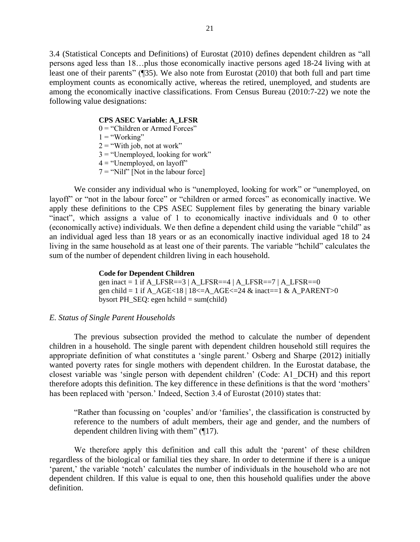3.4 (Statistical Concepts and Definitions) of Eurostat (2010) defines dependent children as "all persons aged less than 18…plus those economically inactive persons aged 18-24 living with at least one of their parents" (¶35). We also note from Eurostat (2010) that both full and part time employment counts as economically active, whereas the retired, unemployed, and students are among the economically inactive classifications. From Census Bureau (2010:7-22) we note the following value designations:

#### **CPS ASEC Variable: A\_LFSR**

 $0 =$  "Children or Armed Forces"  $1 = "Working"$  $2 =$  "With job, not at work"  $3 =$  "Unemployed, looking for work"  $4 =$  "Unemployed, on layoff"  $7 =$  "Nilf" [Not in the labour force]

We consider any individual who is "unemployed, looking for work" or "unemployed, on layoff" or "not in the labour force" or "children or armed forces" as economically inactive. We apply these definitions to the CPS ASEC Supplement files by generating the binary variable "inact", which assigns a value of 1 to economically inactive individuals and 0 to other (economically active) individuals. We then define a dependent child using the variable "child" as an individual aged less than 18 years or as an economically inactive individual aged 18 to 24 living in the same household as at least one of their parents. The variable "hchild" calculates the sum of the number of dependent children living in each household.

#### **Code for Dependent Children**

gen inact = 1 if A\_LFSR==3 | A\_LFSR==4 | A\_LFSR==7 | A\_LFSR==0 gen child = 1 if A\_AGE<18 | 18<=A\_AGE $\le$ =24 & inact==1 & A\_PARENT>0 bysort PH\_SEQ: egen hchild = sum(child)

#### *E. Status of Single Parent Households*

The previous subsection provided the method to calculate the number of dependent children in a household. The single parent with dependent children household still requires the appropriate definition of what constitutes a 'single parent.' Osberg and Sharpe (2012) initially wanted poverty rates for single mothers with dependent children. In the Eurostat database, the closest variable was 'single person with dependent children' (Code: A1\_DCH) and this report therefore adopts this definition. The key difference in these definitions is that the word 'mothers' has been replaced with 'person.' Indeed, Section 3.4 of Eurostat (2010) states that:

"Rather than focussing on 'couples' and/or 'families', the classification is constructed by reference to the numbers of adult members, their age and gender, and the numbers of dependent children living with them" (¶17).

We therefore apply this definition and call this adult the 'parent' of these children regardless of the biological or familial ties they share. In order to determine if there is a unique 'parent,' the variable 'notch' calculates the number of individuals in the household who are not dependent children. If this value is equal to one, then this household qualifies under the above definition.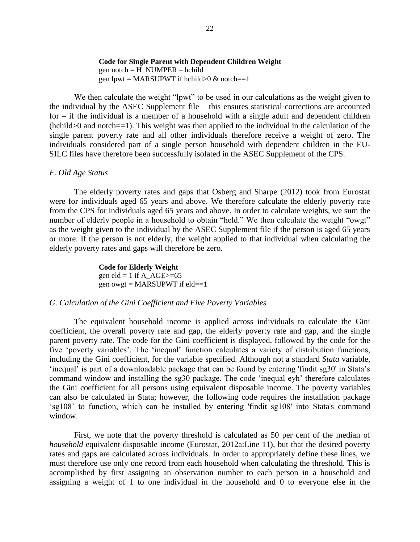**Code for Single Parent with Dependent Children Weight** gen notch =  $H$  NUMPER – hchild gen lpwt = MARSUPWT if hchild $>0$  & notch==1

We then calculate the weight "lpwt" to be used in our calculations as the weight given to the individual by the ASEC Supplement file – this ensures statistical corrections are accounted for – if the individual is a member of a household with a single adult and dependent children  $(hchild>0$  and notch==1). This weight was then applied to the individual in the calculation of the single parent poverty rate and all other individuals therefore receive a weight of zero. The individuals considered part of a single person household with dependent children in the EU-SILC files have therefore been successfully isolated in the ASEC Supplement of the CPS.

#### *F. Old Age Status*

The elderly poverty rates and gaps that Osberg and Sharpe (2012) took from Eurostat were for individuals aged 65 years and above. We therefore calculate the elderly poverty rate from the CPS for individuals aged 65 years and above. In order to calculate weights, we sum the number of elderly people in a household to obtain "held." We then calculate the weight "owgt" as the weight given to the individual by the ASEC Supplement file if the person is aged 65 years or more. If the person is not elderly, the weight applied to that individual when calculating the elderly poverty rates and gaps will therefore be zero.

> **Code for Elderly Weight** gen eld = 1 if  $A_AGE>=65$ gen owgt =  $MARSUPWT$  if eld==1

#### *G. Calculation of the Gini Coefficient and Five Poverty Variables*

The equivalent household income is applied across individuals to calculate the Gini coefficient, the overall poverty rate and gap, the elderly poverty rate and gap, and the single parent poverty rate. The code for the Gini coefficient is displayed, followed by the code for the five 'poverty variables'. The 'inequal' function calculates a variety of distribution functions, including the Gini coefficient, for the variable specified. Although not a standard *Stata* variable, 'inequal' is part of a downloadable package that can be found by entering 'findit sg30' in Stata's command window and installing the sg30 package. The code 'inequal eyh' therefore calculates the Gini coefficient for all persons using equivalent disposable income. The poverty variables can also be calculated in Stata; however, the following code requires the installation package 'sg108' to function, which can be installed by entering 'findit sg108' into Stata's command window.

First, we note that the poverty threshold is calculated as 50 per cent of the median of *household* equivalent disposable income (Eurostat, 2012a:Line 11), but that the desired poverty rates and gaps are calculated across individuals. In order to appropriately define these lines, we must therefore use only one record from each household when calculating the threshold. This is accomplished by first assigning an observation number to each person in a household and assigning a weight of 1 to one individual in the household and 0 to everyone else in the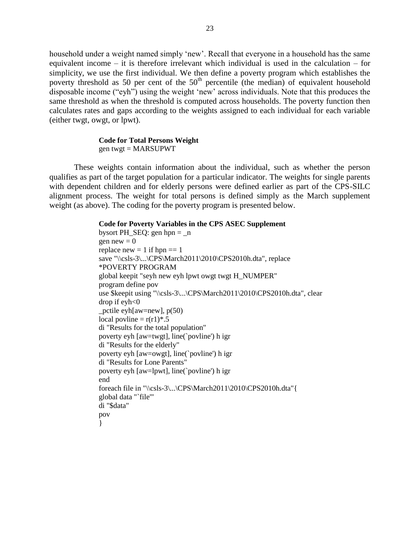household under a weight named simply 'new'. Recall that everyone in a household has the same equivalent income – it is therefore irrelevant which individual is used in the calculation – for simplicity, we use the first individual. We then define a poverty program which establishes the poverty threshold as 50 per cent of the  $50<sup>th</sup>$  percentile (the median) of equivalent household disposable income ("eyh") using the weight 'new' across individuals. Note that this produces the same threshold as when the threshold is computed across households. The poverty function then calculates rates and gaps according to the weights assigned to each individual for each variable (either twgt, owgt, or lpwt).

#### **Code for Total Persons Weight** gen twgt  $=$  MARSUPWT

These weights contain information about the individual, such as whether the person qualifies as part of the target population for a particular indicator. The weights for single parents with dependent children and for elderly persons were defined earlier as part of the CPS-SILC alignment process. The weight for total persons is defined simply as the March supplement weight (as above). The coding for the poverty program is presented below.

#### **Code for Poverty Variables in the CPS ASEC Supplement**

bysort PH\_SEQ: gen  $hpn = n$ gen new  $= 0$ replace new  $= 1$  if hpn  $== 1$ save "\\csls-3\...\CPS\March2011\2010\CPS2010h.dta", replace \*POVERTY PROGRAM global keepit "seyh new eyh lpwt owgt twgt H\_NUMPER" program define pov use \$keepit using "\\csls-3\...\CPS\March2011\2010\CPS2010h.dta", clear drop if  $evh<0$ pctile eyh[aw=new],  $p(50)$ local povline  $= r(r1)^*$ .5 di "Results for the total population" poverty eyh [aw=twgt], line(`povline') h igr di "Results for the elderly" poverty eyh [aw=owgt], line(`povline') h igr di "Results for Lone Parents" poverty eyh [aw=lpwt], line(`povline') h igr end foreach file in "\\csls-3\...\CPS\March2011\2010\CPS2010h.dta"{ global data "`file'" di "\$data" pov }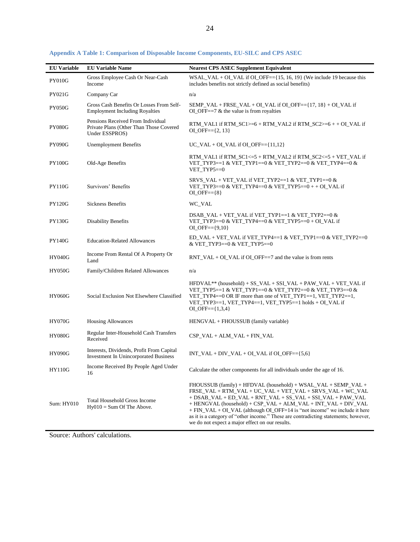| <b>EU</b> Variable | <b>EU Variable Name</b>                                                                        | <b>Nearest CPS ASEC Supplement Equivalent</b>                                                                                                                                                                                                                                                                                                                                                                                                                                       |
|--------------------|------------------------------------------------------------------------------------------------|-------------------------------------------------------------------------------------------------------------------------------------------------------------------------------------------------------------------------------------------------------------------------------------------------------------------------------------------------------------------------------------------------------------------------------------------------------------------------------------|
| <b>PY010G</b>      | Gross Employee Cash Or Near-Cash<br>Income                                                     | WSAL_VAL + OI_VAL if OI_OFF $==$ {15, 16, 19} (We include 19 because this<br>includes benefits not strictly defined as social benefits)                                                                                                                                                                                                                                                                                                                                             |
| PY021G             | Company Car                                                                                    | n/a                                                                                                                                                                                                                                                                                                                                                                                                                                                                                 |
| <b>PY050G</b>      | Gross Cash Benefits Or Losses From Self-<br><b>Employment Including Royalties</b>              | $SEMP_VAL + FRSE_VAL + OLVAL$ if $OLOFF==$ {17, 18} + $OLVAL$ if<br>$OL$ OFF $==7$ & the value is from royalties                                                                                                                                                                                                                                                                                                                                                                    |
| <b>PY080G</b>      | Pensions Received From Individual<br>Private Plans (Other Than Those Covered<br>Under ESSPROS) | $RTM_VAL1$ if $RTM_SCl = 6 + RTM_VAL2$ if $RTM_SCl \ge 6 + 10$ VAL if<br>$OL$ OFF $==$ {2, 13}                                                                                                                                                                                                                                                                                                                                                                                      |
| <b>PY090G</b>      | <b>Unemployment Benefits</b>                                                                   | UC VAL + OI VAL if OI OFF $==$ {11,12}                                                                                                                                                                                                                                                                                                                                                                                                                                              |
| <b>PY100G</b>      | Old-Age Benefits                                                                               | $RTM_VAL1$ if $RTM_SCl \leq 5 + RTM_VAL2$ if $RTM_SCl \leq 5 + VET_VAL$ if<br>VET_TYP3==1 & VET_TYP1==0 & VET_TYP2==0 & VET_TYP4==0 &<br>VET_TYP5==0                                                                                                                                                                                                                                                                                                                                |
| <b>PY110G</b>      | Survivors' Benefits                                                                            | $SRVS$ _VAL + VET_VAL if VET_TYP2==1 & VET_TYP1==0 &<br>VET_TYP3==0 & VET_TYP4==0 & VET_TYP5==0 + + OI_VAL if<br>$OL$ OFF== $\{8\}$                                                                                                                                                                                                                                                                                                                                                 |
| <b>PY120G</b>      | <b>Sickness Benefits</b>                                                                       | WC VAL                                                                                                                                                                                                                                                                                                                                                                                                                                                                              |
| <b>PY130G</b>      | <b>Disability Benefits</b>                                                                     | $DSAB_VAL + VET_VAL$ if $VET_TYP1 == 1$ & $VET_TYP2 == 0$ &<br>VET_TYP3==0 & VET_TYP4==0 & VET_TYP5==0 + OI_VAL if<br>$OL$ OFF== ${9,10}$                                                                                                                                                                                                                                                                                                                                           |
| <b>PY140G</b>      | <b>Education-Related Allowances</b>                                                            | $ED_VAL + VET_VAL$ if $VET_TYP4 == 1$ & $VET_TYP1 == 0$ & $VET_TYP2 == 0$<br>& VET_TYP3==0 & VET_TYP5==0                                                                                                                                                                                                                                                                                                                                                                            |
| <b>HY040G</b>      | Income From Rental Of A Property Or<br>Land                                                    | RNT VAL + OI VAL if OI OFF $=-7$ and the value is from rents                                                                                                                                                                                                                                                                                                                                                                                                                        |
| HY050G             | Family/Children Related Allowances                                                             | n/a                                                                                                                                                                                                                                                                                                                                                                                                                                                                                 |
| <b>HY060G</b>      | Social Exclusion Not Elsewhere Classified                                                      | $HFDVAL^{**}$ (household) + SS_VAL + SSI_VAL + PAW_VAL + VET_VAL if<br>VET_TYP5==1 & VET_TYP1==0 & VET_TYP2==0 & VET_TYP3==0 &<br>VET_TYP4==0 OR IF more than one of VET_TYP1==1, VET_TYP2==1,<br>VET_TYP3==1, VET_TYP4==1, VET_TYP5==1 holds + OI_VAL if<br>$OL$ OFF== $\{1,3,4\}$                                                                                                                                                                                                 |
| <b>HY070G</b>      | <b>Housing Allowances</b>                                                                      | HENGVAL + FHOUSSUB (family variable)                                                                                                                                                                                                                                                                                                                                                                                                                                                |
| <b>HY080G</b>      | Regular Inter-Household Cash Transfers<br>Received                                             | $CSP\_VAL + ALM\_VAL + FIN\_VAL$                                                                                                                                                                                                                                                                                                                                                                                                                                                    |
| <b>HY090G</b>      | Interests, Dividends, Profit From Capital<br><b>Investment In Unincorporated Business</b>      | $INT_VAL + DIV_VAL + OL_VAL$ if OL OFF=={5,6}                                                                                                                                                                                                                                                                                                                                                                                                                                       |
| HY110G             | Income Received By People Aged Under<br>16                                                     | Calculate the other components for all individuals under the age of 16.                                                                                                                                                                                                                                                                                                                                                                                                             |
| <b>Sum: HY010</b>  | <b>Total Household Gross Income</b><br>$Hy010 = Sum Of The Above.$                             | FHOUSSUB (family) + HFDVAL (household) + WSAL_VAL + SEMP_VAL +<br>$FRSE$ VAL + RTM_VAL + UC_VAL + VET_VAL + SRVS_VAL + WC_VAL<br>+ DSAB_VAL + ED_VAL + RNT_VAL + SS_VAL + SSI_VAL + PAW_VAL<br>+ HENGVAL (household) + CSP_VAL + ALM_VAL + INT_VAL + DIV_VAL<br>+ FIN_VAL + OI_VAL (although OI_OFF=14 is "not income" we include it here<br>as it is a category of "other income." These are contradicting statements; however,<br>we do not expect a major effect on our results. |

<span id="page-23-0"></span>**Appendix A Table 1: Comparison of Disposable Income Components, EU-SILC and CPS ASEC**

Source: Authors' calculations.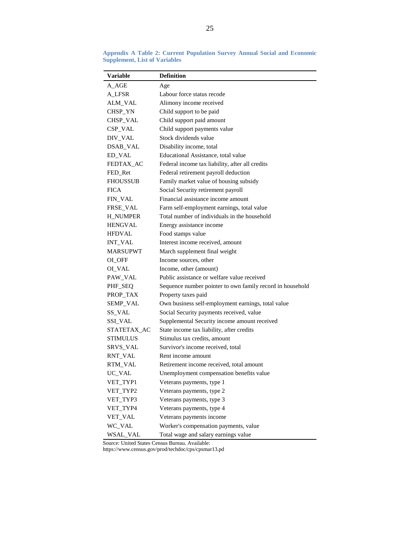| Variable        | <b>Definition</b>                                         |
|-----------------|-----------------------------------------------------------|
|                 |                                                           |
| A_AGE           | Age                                                       |
| A LFSR          | Labour force status recode                                |
| <b>ALM_VAL</b>  | Alimony income received                                   |
| CHSP_YN         | Child support to be paid                                  |
| CHSP_VAL        | Child support paid amount                                 |
| CSP_VAL         | Child support payments value                              |
| DIV_VAL         | Stock dividends value                                     |
| DSAB_VAL        | Disability income, total                                  |
| ED_VAL          | Educational Assistance, total value                       |
| FEDTAX AC       | Federal income tax liability, after all credits           |
| FED_Ret         | Federal retirement payroll deduction                      |
| <b>FHOUSSUB</b> | Family market value of housing subsidy                    |
| <b>FICA</b>     | Social Security retirement payroll                        |
| FIN_VAL         | Financial assistance income amount                        |
| FRSE_VAL        | Farm self-employment earnings, total value                |
| <b>H_NUMPER</b> | Total number of individuals in the household              |
| <b>HENGVAL</b>  | Energy assistance income                                  |
| <b>HFDVAL</b>   | Food stamps value                                         |
| <b>INT VAL</b>  | Interest income received, amount                          |
| MARSUPWT        | March supplement final weight                             |
| OI OFF          | Income sources, other                                     |
| OI_VAL          | Income, other (amount)                                    |
| PAW_VAL         | Public assistance or welfare value received               |
| PHF_SEQ         | Sequence number pointer to own family record in household |
| PROP_TAX        | Property taxes paid                                       |
| SEMP_VAL        | Own business self-employment earnings, total value        |
| SS_VAL          | Social Security payments received, value                  |
| SSI_VAL         | Supplemental Security income amount received              |
| STATETAX_AC     | State income tax liability, after credits                 |
| <b>STIMULUS</b> | Stimulus tax credits, amount                              |
| <b>SRVS VAL</b> | Survivor's income received, total                         |
| RNT_VAL         | Rent income amount                                        |
| RTM VAL         | Retirement income received, total amount                  |
| UC_VAL          | Unemployment compensation benefits value                  |
| VET_TYP1        | Veterans payments, type 1                                 |
| VET_TYP2        | Veterans payments, type 2                                 |
| VET_TYP3        | Veterans payments, type 3                                 |
| VET_TYP4        | Veterans payments, type 4                                 |
| VET_VAL         | Veterans payments income                                  |
| WC_VAL          | Worker's compensation payments, value                     |
| WSAL_VAL        | Total wage and salary earnings value                      |

<span id="page-24-0"></span>**Appendix A Table 2: Current Population Survey Annual Social and Economic Supplement, List of Variables** 

Source: United States Census Bureau. Available:

https://www.census.gov/prod/techdoc/cps/cpsmar13.pd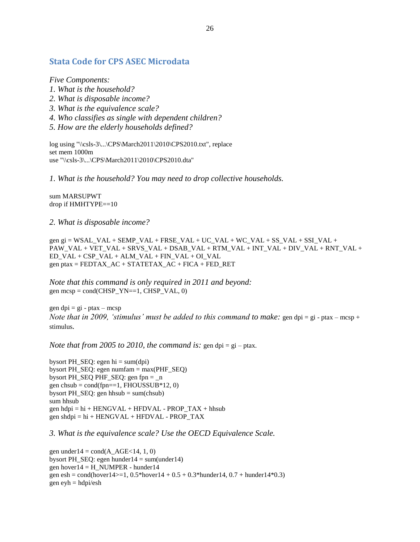### <span id="page-25-0"></span>**Stata Code for CPS ASEC Microdata**

*Five Components:* 

- *1. What is the household?*
- *2. What is disposable income?*
- *3. What is the equivalence scale?*
- *4. Who classifies as single with dependent children?*
- *5. How are the elderly households defined?*

log using "\\csls-3\...\CPS\March2011\2010\CPS2010.txt", replace set mem 1000m use "\\csls-3\...\CPS\March2011\2010\CPS2010.dta"

*1. What is the household? You may need to drop collective households.*

sum MARSUPWT drop if HMHTYPE==10

#### *2. What is disposable income?*

 $gen$   $gi = WSAL_VAL + SEMP_VAL + FRSE_VAL + UC_VAL + WC_VAL + SS_VAL + SS_VAL + SSI_VAL +$ PAW\_VAL + VET\_VAL + SRVS\_VAL + DSAB\_VAL + RTM\_VAL + INT\_VAL + DIV\_VAL + RNT\_VAL + ED\_VAL + CSP\_VAL + ALM\_VAL + FIN\_VAL + OI\_VAL gen ptax =  $FEDTAX_AC + STATETAX_AC + FICA + FED_RET$ 

*Note that this command is only required in 2011 and beyond:* gen mcsp = cond(CHSP\_YN==1, CHSP\_VAL, 0)

gen dpi = gi - ptax – mcsp *Note that in 2009, 'stimulus' must be added to this command to make: gen dpi = gi - ptax – mcsp +* stimulus*.*

*Note that from 2005 to 2010, the command is:* gen dpi = gi – ptax.

bysort PH\_SEQ: egen  $hi = sum(dpi)$ bysort PH\_SEQ: egen numfam = max(PHF\_SEQ) bysort PH\_SEQ PHF\_SEQ: gen fpn =  $\bar{m}$ gen chsub =  $cond(fpn==1, FHOUS SUB*12, 0)$ bysort PH\_SEQ: gen hhsub = sum(chsub) sum hhsub gen hdpi = hi +  $HENGVAL + HFDVAL - PROP_TAX + hhsub$ gen shdpi = hi + HENGVAL + HFDVAL - PROP\_TAX

*3. What is the equivalence scale? Use the OECD Equivalence Scale.*

gen under  $14 = \text{cond}(A_AGE < 14, 1, 0)$ bysort PH\_SEQ: egen hunder14 = sum(under14) gen hover $14 = H$ NUMPER - hunder $14$ gen esh = cond(hover $14>1$ ,  $0.5*$ hover $14 + 0.5 + 0.3*$ hunder $14$ ,  $0.7 +$ hunder $14*0.3$ ) gen  $eyh = hdpi/esh$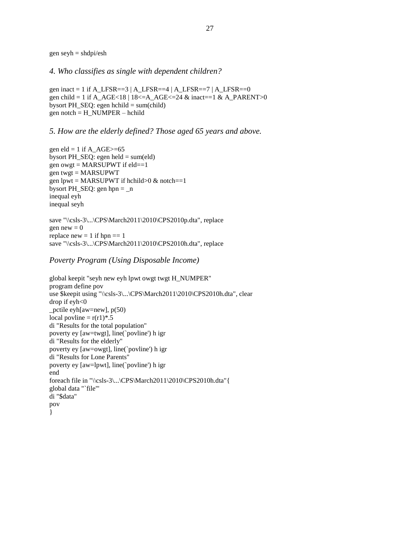gen seyh = shdpi/esh

*4. Who classifies as single with dependent children?*

gen inact = 1 if A\_LFSR==3 | A\_LFSR==4 | A\_LFSR==7 | A\_LFSR==0 gen child = 1 if A\_AGE<18 |  $18 \leq A_A G$ E $\leq 24 \&$  inact==1 & A\_PARENT>0 bysort PH\_SEQ: egen hchild = sum(child) gen notch = H\_NUMPER – hchild

#### *5. How are the elderly defined? Those aged 65 years and above.*

gen eld = 1 if  $A_AGE>=65$ bysort  $PH\_SEQ$ : egen held = sum(eld) gen owgt =  $MARSUPWT$  if eld==1 gen twgt = MARSUPWT gen lpwt = MARSUPWT if hchild $>0$  & notch==1 bysort PH\_SEQ: gen hpn = \_n inequal eyh inequal seyh save "\\csls-3\...\CPS\March2011\2010\CPS2010p.dta", replace gen new  $= 0$ replace  $new = 1$  if  $hpn == 1$ 

#### save "\\csls-3\...\CPS\March2011\2010\CPS2010h.dta", replace

#### *Poverty Program (Using Disposable Income)*

```
global keepit "seyh new eyh lpwt owgt twgt H_NUMPER"
program define pov
use $keepit using "\\csls-3\...\CPS\March2011\2010\CPS2010h.dta", clear
drop if eyh<0
_pctile eyh[aw=new], p(50)
local povline = r(r1)*.5di "Results for the total population"
poverty ey [aw=twgt], line(`povline') h igr
di "Results for the elderly"
poverty ey [aw=owgt], line(`povline') h igr
di "Results for Lone Parents"
poverty ey [aw=lpwt], line(`povline') h igr
end
foreach file in "\\csls-3\...\CPS\March2011\2010\CPS2010h.dta"{
global data "`file'"
di "$data"
pov
}
```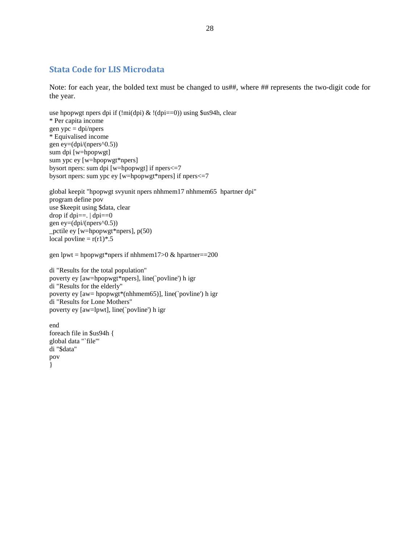## <span id="page-27-0"></span>**Stata Code for LIS Microdata**

Note: for each year, the bolded text must be changed to us##, where ## represents the two-digit code for the year.

```
use hpopwgt npers dpi if (!mi(dpi) & !(dpi==0)) using $us94h, clear
* Per capita income
gen ypc = dpi/npers
* Equivalised income
gen ey=(dpi/(npers^0.5))sum dpi [w=hpopwgt]
sum ypc ey [w=hpopwgt*npers]
bysort npers: sum dpi [w=hpopwgt] if npers<=7
bysort npers: sum ypc ey [w=hpopwgt*npers] if npers<=7
```
global keepit "hpopwgt svyunit npers nhhmem17 nhhmem65 hpartner dpi" program define pov use \$keepit using \$data, clear drop if dpi= $=$ . | dpi= $=0$ gen ey=(dpi/(npers^0.5)) \_pctile ey [w=hpopwgt\*npers], p(50) local povline =  $r(r1)*.5$ 

gen lpwt = hpopwgt\*npers if nhhmem17>0 & hpartner==200

```
di "Results for the total population"
poverty ey [aw=hpopwgt*npers], line(`povline') h igr
di "Results for the elderly"
poverty ey [aw= hpopwgt*(nhhmem65)], line(`povline') h igr
di "Results for Lone Mothers"
poverty ey [aw=lpwt], line(`povline') h igr
```
end foreach file in \$us94h { global data "`file'" di "\$data" pov }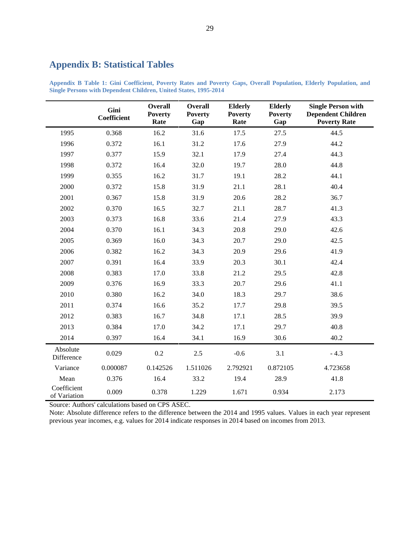## <span id="page-28-0"></span>**Appendix B: Statistical Tables**

|                             | Gini<br>Coefficient | <b>Overall</b><br><b>Poverty</b><br>Rate | <b>Overall</b><br><b>Poverty</b><br>Gap | <b>Elderly</b><br><b>Poverty</b><br>Rate | <b>Elderly</b><br><b>Poverty</b><br>Gap | <b>Single Person with</b><br><b>Dependent Children</b><br><b>Poverty Rate</b> |
|-----------------------------|---------------------|------------------------------------------|-----------------------------------------|------------------------------------------|-----------------------------------------|-------------------------------------------------------------------------------|
| 1995                        | 0.368               | 16.2                                     | 31.6                                    | 17.5                                     | 27.5                                    | 44.5                                                                          |
| 1996                        | 0.372               | 16.1                                     | 31.2                                    | 17.6                                     | 27.9                                    | 44.2                                                                          |
| 1997                        | 0.377               | 15.9                                     | 32.1                                    | 17.9                                     | 27.4                                    | 44.3                                                                          |
| 1998                        | 0.372               | 16.4                                     | 32.0                                    | 19.7                                     | 28.0                                    | 44.8                                                                          |
| 1999                        | 0.355               | 16.2                                     | 31.7                                    | 19.1                                     | 28.2                                    | 44.1                                                                          |
| 2000                        | 0.372               | 15.8                                     | 31.9                                    | 21.1                                     | 28.1                                    | 40.4                                                                          |
| 2001                        | 0.367               | 15.8                                     | 31.9                                    | 20.6                                     | 28.2                                    | 36.7                                                                          |
| 2002                        | 0.370               | 16.5                                     | 32.7                                    | 21.1                                     | 28.7                                    | 41.3                                                                          |
| 2003                        | 0.373               | 16.8                                     | 33.6                                    | 21.4                                     | 27.9                                    | 43.3                                                                          |
| 2004                        | 0.370               | 16.1                                     | 34.3                                    | 20.8                                     | 29.0                                    | 42.6                                                                          |
| 2005                        | 0.369               | 16.0                                     | 34.3                                    | 20.7                                     | 29.0                                    | 42.5                                                                          |
| 2006                        | 0.382               | 16.2                                     | 34.3                                    | 20.9                                     | 29.6                                    | 41.9                                                                          |
| 2007                        | 0.391               | 16.4                                     | 33.9                                    | 20.3                                     | 30.1                                    | 42.4                                                                          |
| 2008                        | 0.383               | 17.0                                     | 33.8                                    | 21.2                                     | 29.5                                    | 42.8                                                                          |
| 2009                        | 0.376               | 16.9                                     | 33.3                                    | 20.7                                     | 29.6                                    | 41.1                                                                          |
| 2010                        | 0.380               | 16.2                                     | 34.0                                    | 18.3                                     | 29.7                                    | 38.6                                                                          |
| 2011                        | 0.374               | 16.6                                     | 35.2                                    | 17.7                                     | 29.8                                    | 39.5                                                                          |
| 2012                        | 0.383               | 16.7                                     | 34.8                                    | 17.1                                     | 28.5                                    | 39.9                                                                          |
| 2013                        | 0.384               | 17.0                                     | 34.2                                    | 17.1                                     | 29.7                                    | 40.8                                                                          |
| 2014                        | 0.397               | 16.4                                     | 34.1                                    | 16.9                                     | 30.6                                    | 40.2                                                                          |
| Absolute<br>Difference      | 0.029               | 0.2                                      | 2.5                                     | $-0.6$                                   | 3.1                                     | $-4.3$                                                                        |
| Variance                    | 0.000087            | 0.142526                                 | 1.511026                                | 2.792921                                 | 0.872105                                | 4.723658                                                                      |
| Mean                        | 0.376               | 16.4                                     | 33.2                                    | 19.4                                     | 28.9                                    | 41.8                                                                          |
| Coefficient<br>of Variation | 0.009               | 0.378                                    | 1.229                                   | 1.671                                    | 0.934                                   | 2.173                                                                         |

<span id="page-28-1"></span>**Appendix B Table 1: Gini Coefficient, Poverty Rates and Poverty Gaps, Overall Population, Elderly Population, and Single Persons with Dependent Children, United States, 1995-2014**

Source: Authors' calculations based on CPS ASEC.

Note: Absolute difference refers to the difference between the 2014 and 1995 values. Values in each year represent previous year incomes, e.g. values for 2014 indicate responses in 2014 based on incomes from 2013.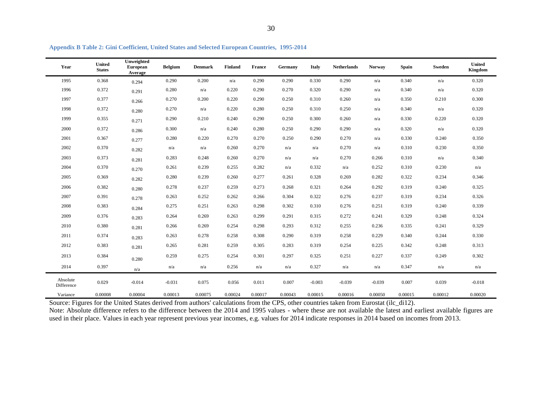<span id="page-29-0"></span>

| Year                   | <b>United</b><br><b>States</b> | Unweighted<br><b>European</b><br>Average | <b>Belgium</b> | <b>Denmark</b> | <b>Finland</b> | <b>France</b> | Germany | <b>Italy</b> | <b>Netherlands</b> | <b>Norway</b> | Spain   | Sweden  | <b>United</b><br>Kingdom |
|------------------------|--------------------------------|------------------------------------------|----------------|----------------|----------------|---------------|---------|--------------|--------------------|---------------|---------|---------|--------------------------|
| 1995                   | 0.368                          | 0.294                                    | 0.290          | 0.200          | n/a            | 0.290         | 0.290   | 0.330        | 0.290              | n/a           | 0.340   | n/a     | 0.320                    |
| 1996                   | 0.372                          | 0.291                                    | 0.280          | n/a            | 0.220          | 0.290         | 0.270   | 0.320        | 0.290              | n/a           | 0.340   | n/a     | 0.320                    |
| 1997                   | 0.377                          | 0.266                                    | 0.270          | 0.200          | 0.220          | 0.290         | 0.250   | 0.310        | 0.260              | n/a           | 0.350   | 0.210   | 0.300                    |
| 1998                   | 0.372                          | 0.280                                    | 0.270          | n/a            | 0.220          | 0.280         | 0.250   | 0.310        | 0.250              | n/a           | 0.340   | n/a     | 0.320                    |
| 1999                   | 0.355                          | 0.271                                    | 0.290          | 0.210          | 0.240          | 0.290         | 0.250   | 0.300        | 0.260              | n/a           | 0.330   | 0.220   | 0.320                    |
| 2000                   | 0.372                          | 0.286                                    | 0.300          | n/a            | 0.240          | 0.280         | 0.250   | 0.290        | 0.290              | n/a           | 0.320   | n/a     | 0.320                    |
| 2001                   | 0.367                          | 0.277                                    | 0.280          | 0.220          | 0.270          | 0.270         | 0.250   | 0.290        | 0.270              | n/a           | 0.330   | 0.240   | 0.350                    |
| 2002                   | 0.370                          | 0.282                                    | n/a            | n/a            | 0.260          | 0.270         | n/a     | n/a          | 0.270              | n/a           | 0.310   | 0.230   | 0.350                    |
| 2003                   | 0.373                          | 0.281                                    | 0.283          | 0.248          | 0.260          | 0.270         | n/a     | n/a          | 0.270              | 0.266         | 0.310   | n/a     | 0.340                    |
| 2004                   | 0.370                          | 0.270                                    | 0.261          | 0.239          | 0.255          | 0.282         | n/a     | 0.332        | n/a                | 0.252         | 0.310   | 0.230   | n/a                      |
| 2005                   | 0.369                          | 0.282                                    | 0.280          | 0.239          | 0.260          | 0.277         | 0.261   | 0.328        | 0.269              | 0.282         | 0.322   | 0.234   | 0.346                    |
| 2006                   | 0.382                          | 0.280                                    | 0.278          | 0.237          | 0.259          | 0.273         | 0.268   | 0.321        | 0.264              | 0.292         | 0.319   | 0.240   | 0.325                    |
| 2007                   | 0.391                          | 0.278                                    | 0.263          | 0.252          | 0.262          | 0.266         | 0.304   | 0.322        | 0.276              | 0.237         | 0.319   | 0.234   | 0.326                    |
| 2008                   | 0.383                          | 0.284                                    | 0.275          | 0.251          | 0.263          | 0.298         | 0.302   | 0.310        | 0.276              | 0.251         | 0.319   | 0.240   | 0.339                    |
| 2009                   | 0.376                          | 0.283                                    | 0.264          | 0.269          | 0.263          | 0.299         | 0.291   | 0.315        | 0.272              | 0.241         | 0.329   | 0.248   | 0.324                    |
| 2010                   | 0.380                          | 0.281                                    | 0.266          | 0.269          | 0.254          | 0.298         | 0.293   | 0.312        | 0.255              | 0.236         | 0.335   | 0.241   | 0.329                    |
| 2011                   | 0.374                          | 0.283                                    | 0.263          | 0.278          | 0.258          | 0.308         | 0.290   | 0.319        | 0.258              | 0.229         | 0.340   | 0.244   | 0.330                    |
| 2012                   | 0.383                          | 0.281                                    | 0.265          | 0.281          | 0.259          | 0.305         | 0.283   | 0.319        | 0.254              | 0.225         | 0.342   | 0.248   | 0.313                    |
| 2013                   | 0.384                          | 0.280                                    | 0.259          | 0.275          | 0.254          | 0.301         | 0.297   | 0.325        | 0.251              | 0.227         | 0.337   | 0.249   | 0.302                    |
| 2014                   | 0.397                          | n/a                                      | n/a            | n/a            | 0.256          | n/a           | n/a     | 0.327        | n/a                | n/a           | 0.347   | n/a     | n/a                      |
| Absolute<br>Difference | 0.029                          | $-0.014$                                 | $-0.031$       | 0.075          | 0.056          | 0.011         | 0.007   | $-0.003$     | $-0.039$           | $-0.039$      | 0.007   | 0.039   | $-0.018$                 |
| Variance               | 0.00008                        | 0.00004                                  | 0.00013        | 0.00075        | 0.00024        | 0.00017       | 0.00043 | 0.00015      | 0.00016            | 0.00050       | 0.00015 | 0.00012 | 0.00020                  |

**Appendix B Table 2: Gini Coefficient, United States and Selected European Countries, 1995-2014**

Source: Figures for the United States derived from authors' calculations from the CPS, other countries taken from Eurostat (ilc\_di12). Note: Absolute difference refers to the difference between the 2014 and 1995 values - where these are not available the latest and earliest available figures are used in their place. Values in each year represent previous year incomes, e.g. values for 2014 indicate responses in 2014 based on incomes from 2013.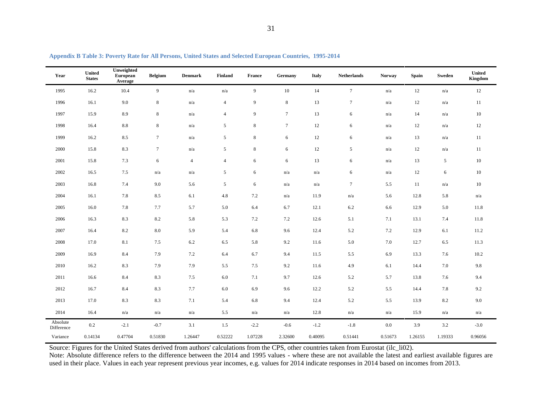<span id="page-30-0"></span>

| Year                   | United<br><b>States</b> | Unweighted<br>European<br>Average | <b>Belgium</b> | <b>Denmark</b>          | Finland                 | France  | Germany        | <b>Italy</b> | <b>Netherlands</b> | <b>Norway</b> | <b>Spain</b> | Sweden                  | United<br>Kingdom |
|------------------------|-------------------------|-----------------------------------|----------------|-------------------------|-------------------------|---------|----------------|--------------|--------------------|---------------|--------------|-------------------------|-------------------|
| 1995                   | 16.2                    | 10.4                              | 9              | $\mathrm{n}/\mathrm{a}$ | $\mathrm{n}/\mathrm{a}$ | 9       | 10             | 14           | $7\phantom{.0}$    | n/a           | 12           | $\mathrm{n}/\mathrm{a}$ | 12                |
| 1996                   | 16.1                    | 9.0                               | $8\,$          | n/a                     | $\overline{4}$          | 9       | $\,8\,$        | 13           | $\tau$             | n/a           | 12           | n/a                     | 11                |
| 1997                   | 15.9                    | 8.9                               | 8              | n/a                     | $\overline{4}$          | 9       | $\tau$         | 13           | 6                  | n/a           | 14           | n/a                     | 10                |
| 1998                   | 16.4                    | $8.8\,$                           | $8\,$          | n/a                     | $\sqrt{5}$              | 8       | $\overline{7}$ | 12           | 6                  | n/a           | 12           | n/a                     | 12                |
| 1999                   | 16.2                    | 8.5                               | $\tau$         | n/a                     | 5                       | 8       | 6              | 12           | 6                  | n/a           | 13           | n/a                     | 11                |
| 2000                   | 15.8                    | 8.3                               | $\tau$         | n/a                     | 5                       | 8       | 6              | 12           | 5                  | n/a           | 12           | n/a                     | 11                |
| 2001                   | 15.8                    | 7.3                               | 6              | $\overline{4}$          | $\overline{4}$          | 6       | 6              | 13           | 6                  | n/a           | 13           | 5                       | 10                |
| 2002                   | 16.5                    | 7.5                               | n/a            | n/a                     | 5                       | 6       | n/a            | n/a          | 6                  | n/a           | 12           | 6                       | $10\,$            |
| 2003                   | 16.8                    | 7.4                               | 9.0            | 5.6                     | 5                       | 6       | n/a            | n/a          | $\tau$             | 5.5           | 11           | n/a                     | 10                |
| 2004                   | 16.1                    | 7.8                               | 8.5            | 6.1                     | $4.8\,$                 | 7.2     | n/a            | 11.9         | n/a                | 5.6           | 12.8         | 5.8                     | n/a               |
| 2005                   | 16.0                    | 7.8                               | 7.7            | 5.7                     | 5.0                     | 6.4     | 6.7            | 12.1         | 6.2                | 6.6           | 12.9         | 5.0                     | 11.8              |
| 2006                   | 16.3                    | 8.3                               | 8.2            | 5.8                     | 5.3                     | 7.2     | 7.2            | 12.6         | 5.1                | 7.1           | 13.1         | 7.4                     | 11.8              |
| 2007                   | 16.4                    | 8.2                               | $8.0\,$        | 5.9                     | 5.4                     | 6.8     | 9.6            | 12.4         | 5.2                | 7.2           | 12.9         | 6.1                     | 11.2              |
| 2008                   | 17.0                    | 8.1                               | 7.5            | 6.2                     | 6.5                     | 5.8     | 9.2            | 11.6         | 5.0                | 7.0           | 12.7         | 6.5                     | 11.3              |
| 2009                   | 16.9                    | 8.4                               | 7.9            | 7.2                     | 6.4                     | 6.7     | 9.4            | 11.5         | 5.5                | 6.9           | 13.3         | 7.6                     | 10.2              |
| 2010                   | 16.2                    | 8.3                               | 7.9            | 7.9                     | 5.5                     | 7.5     | 9.2            | 11.6         | 4.9                | 6.1           | 14.4         | 7.0                     | 9.8               |
| 2011                   | 16.6                    | 8.4                               | 8.3            | 7.5                     | $6.0\,$                 | 7.1     | 9.7            | 12.6         | 5.2                | 5.7           | 13.8         | 7.6                     | 9.4               |
| 2012                   | 16.7                    | 8.4                               | 8.3            | 7.7                     | $6.0\,$                 | 6.9     | 9.6            | 12.2         | 5.2                | 5.5           | 14.4         | $7.8\,$                 | 9.2               |
| 2013                   | 17.0                    | 8.3                               | 8.3            | 7.1                     | 5.4                     | 6.8     | 9.4            | 12.4         | 5.2                | 5.5           | 13.9         | 8.2                     | 9.0               |
| 2014                   | 16.4                    | n/a                               | n/a            | n/a                     | 5.5                     | n/a     | n/a            | 12.8         | n/a                | n/a           | 15.9         | n/a                     | n/a               |
| Absolute<br>Difference | $0.2\,$                 | $-2.1$                            | $-0.7$         | 3.1                     | 1.5                     | $-2.2$  | $-0.6$         | $-1.2$       | $-1.8$             | 0.0           | 3.9          | 3.2                     | $-3.0$            |
| Variance               | 0.14134                 | 0.47704                           | 0.51830        | 1.26447                 | 0.52222                 | 1.07228 | 2.32600        | 0.40095      | 0.51441            | 0.51673       | 1.26155      | 1.19333                 | 0.96056           |

**Appendix B Table 3: Poverty Rate for All Persons, United States and Selected European Countries, 1995-2014**

Source: Figures for the United States derived from authors' calculations from the CPS, other countries taken from Eurostat (ilc\_li02).

Note: Absolute difference refers to the difference between the 2014 and 1995 values - where these are not available the latest and earliest available figures are used in their place. Values in each year represent previous year incomes, e.g. values for 2014 indicate responses in 2014 based on incomes from 2013.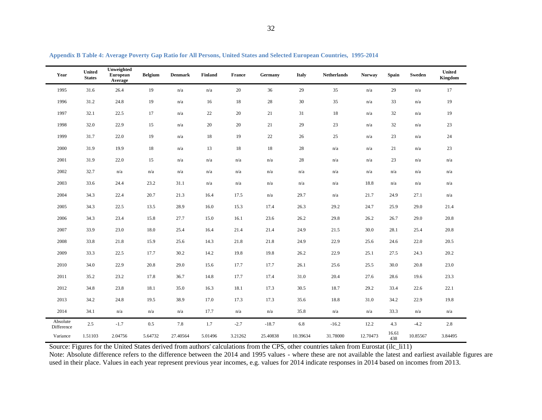<span id="page-31-0"></span>

| Year                   | <b>United</b><br><b>States</b> | Unweighted<br>European<br>Average | <b>Belgium</b> | <b>Denmark</b>          | Finland | France  | Germany                 | <b>Italy</b>            | <b>Netherlands</b>      | <b>Norway</b>           | Spain        | Sweden                  | <b>United</b><br>Kingdom |
|------------------------|--------------------------------|-----------------------------------|----------------|-------------------------|---------|---------|-------------------------|-------------------------|-------------------------|-------------------------|--------------|-------------------------|--------------------------|
| 1995                   | 31.6                           | 26.4                              | 19             | $\mathrm{n}/\mathrm{a}$ | n/a     | 20      | 36                      | 29                      | 35                      | $\mathrm{n}/\mathrm{a}$ | 29           | $\mathrm{n}/\mathrm{a}$ | 17                       |
| 1996                   | 31.2                           | 24.8                              | 19             | n/a                     | 16      | 18      | $28\,$                  | 30                      | 35                      | n/a                     | 33           | n/a                     | 19                       |
| 1997                   | 32.1                           | 22.5                              | 17             | n/a                     | 22      | 20      | 21                      | 31                      | 18                      | n/a                     | 32           | n/a                     | 19                       |
| 1998                   | 32.0                           | 22.9                              | 15             | n/a                     | 20      | 20      | 21                      | 29                      | 23                      | n/a                     | 32           | n/a                     | 23                       |
| 1999                   | 31.7                           | 22.0                              | 19             | n/a                     | 18      | 19      | 22                      | 26                      | 25                      | n/a                     | 23           | n/a                     | 24                       |
| 2000                   | 31.9                           | 19.9                              | 18             | n/a                     | 13      | 18      | $18\,$                  | $28\,$                  | $\mathrm{n}/\mathrm{a}$ | n/a                     | 21           | n/a                     | 23                       |
| 2001                   | 31.9                           | 22.0                              | 15             | n/a                     | n/a     | n/a     | $\mathrm{n}/\mathrm{a}$ | 28                      | n/a                     | n/a                     | 23           | n/a                     | $\mathrm{n}/\mathrm{a}$  |
| 2002                   | 32.7                           | $\mathrm{n}/\mathrm{a}$           | n/a            | $\mathrm{n}/\mathrm{a}$ | n/a     | n/a     | n/a                     | $\mathrm{n}/\mathrm{a}$ | $\mathrm{n}/\mathrm{a}$ | n/a                     | n/a          | n/a                     | n/a                      |
| 2003                   | 33.6                           | 24.4                              | 23.2           | 31.1                    | n/a     | n/a     | n/a                     | $\mathrm{n}/\mathrm{a}$ | $\mathrm{n}/\mathrm{a}$ | 18.8                    | n/a          | n/a                     | n/a                      |
| 2004                   | 34.3                           | 22.4                              | 20.7           | 21.3                    | 16.4    | 17.5    | n/a                     | 29.7                    | n/a                     | 21.7                    | 24.9         | 27.1                    | n/a                      |
| 2005                   | 34.3                           | 22.5                              | 13.5           | 28.9                    | 16.0    | 15.3    | 17.4                    | 26.3                    | 29.2                    | 24.7                    | 25.9         | 29.0                    | 21.4                     |
| 2006                   | 34.3                           | 23.4                              | 15.8           | 27.7                    | 15.0    | 16.1    | 23.6                    | 26.2                    | 29.8                    | 26.2                    | 26.7         | 29.0                    | 20.8                     |
| 2007                   | 33.9                           | 23.0                              | 18.0           | 25.4                    | 16.4    | 21.4    | 21.4                    | 24.9                    | 21.5                    | 30.0                    | 28.1         | 25.4                    | 20.8                     |
| 2008                   | 33.8                           | 21.8                              | 15.9           | 25.6                    | 14.3    | 21.8    | 21.8                    | 24.9                    | 22.9                    | 25.6                    | 24.6         | 22.0                    | 20.5                     |
| 2009                   | 33.3                           | 22.5                              | 17.7           | 30.2                    | 14.2    | 19.8    | 19.8                    | 26.2                    | 22.9                    | 25.1                    | 27.5         | 24.3                    | 20.2                     |
| 2010                   | 34.0                           | 22.9                              | 20.8           | 29.0                    | 15.6    | 17.7    | 17.7                    | 26.1                    | 25.6                    | 25.5                    | 30.0         | 20.8                    | 23.0                     |
| 2011                   | 35.2                           | 23.2                              | 17.8           | 36.7                    | 14.8    | 17.7    | 17.4                    | 31.0                    | 20.4                    | 27.6                    | 28.6         | 19.6                    | 23.3                     |
| 2012                   | 34.8                           | 23.8                              | 18.1           | 35.0                    | 16.3    | 18.1    | 17.3                    | 30.5                    | 18.7                    | 29.2                    | 33.4         | 22.6                    | 22.1                     |
| 2013                   | 34.2                           | 24.8                              | 19.5           | 38.9                    | 17.0    | 17.3    | 17.3                    | 35.6                    | 18.8                    | 31.0                    | 34.2         | 22.9                    | 19.8                     |
| 2014                   | 34.1                           | n/a                               | n/a            | n/a                     | 17.7    | n/a     | $\mathrm{n}/\mathrm{a}$ | 35.8                    | n/a                     | n/a                     | 33.3         | n/a                     | n/a                      |
| Absolute<br>Difference | 2.5                            | $-1.7$                            | 0.5            | 7.8                     | 1.7     | $-2.7$  | $-18.7$                 | 6.8                     | $-16.2$                 | 12.2                    | 4.3          | $-4.2$                  | 2.8                      |
| Variance               | 1.51103                        | 2.04756                           | 5.64732        | 27.40564                | 5.01496 | 3.21262 | 25.40838                | 10.39634                | 31.78000                | 12.70473                | 16.61<br>438 | 10.85567                | 3.84495                  |

**Appendix B Table 4: Average Poverty Gap Ratio for All Persons, United States and Selected European Countries, 1995-2014**

Source: Figures for the United States derived from authors' calculations from the CPS, other countries taken from Eurostat (ilc\_li11)

Note: Absolute difference refers to the difference between the 2014 and 1995 values - where these are not available the latest and earliest available figures are used in their place. Values in each year represent previous year incomes, e.g. values for 2014 indicate responses in 2014 based on incomes from 2013.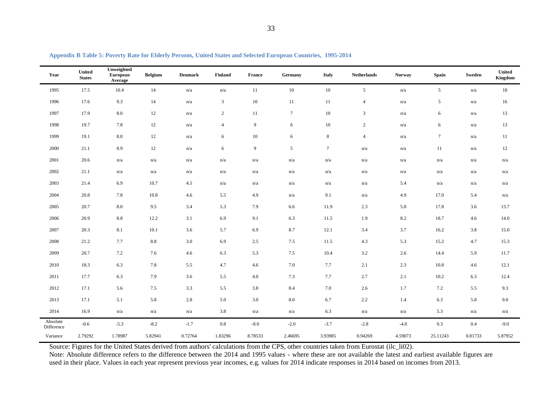<span id="page-32-0"></span>

| Year                   | United<br><b>States</b> | Unweighted<br><b>European</b><br>Average | <b>Belgium</b>          | <b>Denmark</b>          | <b>Finland</b>          | France  | Germany | <b>Italy</b> | <b>Netherlands</b> | <b>Norway</b>           | Spain           | Sweden                  | United<br>Kingdom |
|------------------------|-------------------------|------------------------------------------|-------------------------|-------------------------|-------------------------|---------|---------|--------------|--------------------|-------------------------|-----------------|-------------------------|-------------------|
| 1995                   | 17.5                    | 10.4                                     | 14                      | n/a                     | n/a                     | 11      | $10\,$  | $10\,$       | $\mathfrak{S}$     | n/a                     | $5\overline{)}$ | $\mathrm{n}/\mathrm{a}$ | $18\,$            |
| 1996                   | 17.6                    | 9.3                                      | 14                      | n/a                     | $\overline{\mathbf{3}}$ | $10\,$  | 11      | 11           | $\overline{4}$     | $\mathrm{n}/\mathrm{a}$ | $\sqrt{5}$      | n/a                     | 16                |
| 1997                   | 17.9                    | 8.0                                      | 12                      | n/a                     | $\overline{2}$          | 11      | $\tau$  | 10           | 3                  | n/a                     | 6               | $\mathrm{n}/\mathrm{a}$ | 13                |
| 1998                   | 19.7                    | 7.8                                      | 12                      | n/a                     | $\overline{4}$          | 9       | 6       | 10           | $\overline{2}$     | n/a                     | 6               | n/a                     | 13                |
| 1999                   | 19.1                    | $8.0\,$                                  | 12                      | n/a                     | $\sqrt{6}$              | $10\,$  | 6       | 8            | $\overline{4}$     | n/a                     | $\tau$          | n/a                     | $11\,$            |
| 2000                   | 21.1                    | 8.9                                      | 12                      | $\mathrm{n}/\mathrm{a}$ | 6                       | 9       | 5       | $\tau$       | n/a                | n/a                     | 11              | n/a                     | 12                |
| 2001                   | 20.6                    | n/a                                      | n/a                     | n/a                     | n/a                     | n/a     | n/a     | n/a          | n/a                | n/a                     | n/a             | n/a                     | n/a               |
| 2002                   | 21.1                    | n/a                                      | n/a                     | n/a                     | n/a                     | n/a     | n/a     | n/a          | n/a                | n/a                     | n/a             | n/a                     | n/a               |
| 2003                   | 21.4                    | 6.9                                      | 10.7                    | 4.5                     | n/a                     | n/a     | n/a     | n/a          | n/a                | 5.4                     | n/a             | n/a                     | n/a               |
| 2004                   | 20.8                    | 7.8                                      | 10.8                    | 4.6                     | 5.5                     | 4.9     | n/a     | 9.1          | n/a                | 4.9                     | 17.0            | 5.4                     | n/a               |
| 2005                   | 20.7                    | $8.0\,$                                  | 9.5                     | 3.4                     | 5.3                     | 7.9     | 6.6     | 11.9         | 2.3                | 5.8                     | 17.8            | 3.6                     | 13.7              |
| 2006                   | 20.9                    | $8.8\,$                                  | 12.2                    | 3.1                     | 6.9                     | 9.1     | $6.3\,$ | 11.5         | 1.9                | 8.2                     | 18.7            | 4.6                     | 14.0              |
| 2007                   | 20.3                    | 8.1                                      | 10.1                    | 3.6                     | 5.7                     | 6.9     | 8.7     | 12.1         | 3.4                | 3.7                     | 16.2            | 3.8                     | 15.0              |
| 2008                   | 21.2                    | 7.7                                      | $8.8\,$                 | 3.0                     | 6.9                     | 2.5     | 7.5     | 11.5         | 4.3                | 5.3                     | 15.2            | 4.7                     | 15.3              |
| 2009                   | 20.7                    | $7.2\,$                                  | 7.6                     | 4.6                     | 6.3                     | 5.3     | 7.5     | 10.4         | 3.2                | 2.6                     | 14.4            | 5.9                     | 11.7              |
| 2010                   | 18.3                    | 6.3                                      | 7.8                     | 5.5                     | 4.7                     | 4.6     | 7.0     | 7.7          | 2.1                | 2.3                     | 10.8            | 4.6                     | 12.1              |
| 2011                   | 17.7                    | 6.3                                      | 7.9                     | 3.6                     | 5.5                     | $4.0\,$ | 7.3     | 7.7          | 2.7                | 2.1                     | 10.2            | 6.3                     | 12.4              |
| 2012                   | 17.1                    | 5.6                                      | 7.5                     | 3.3                     | 5.5                     | 3.8     | 8.4     | $7.0\,$      | 2.6                | 1.7                     | 7.2             | 5.5                     | 9.3               |
| 2013                   | 17.1                    | 5.1                                      | 5.8                     | $2.8\,$                 | 5.0                     | $3.0\,$ | $8.0\,$ | 6.7          | $2.2\,$            | 1.4                     | 6.3             | 5.8                     | 9.0               |
| 2014                   | 16.9                    | n/a                                      | $\mathrm{n}/\mathrm{a}$ | n/a                     | 3.8                     | n/a     | n/a     | 6.3          | n/a                | n/a                     | 5.3             | n/a                     | n/a               |
| Absolute<br>Difference | $-0.6$                  | $-5.3$                                   | $-8.2$                  | $\text{-}1.7$           | $\rm 0.8$               | $-8.0$  | $-2.0$  | $-3.7$       | $-2.8$             | $-4.0$                  | $0.3\,$         | $0.4\,$                 | $-9.0$            |
| Variance               | 2.79292                 | 1.78987                                  | 5.82941                 | 0.72764                 | 1.83296                 | 8.78533 | 2.46695 | 3.93985      | 0.94269            | 4.59073                 | 25.11243        | 0.81733                 | 5.87952           |

Source: Figures for the United States derived from authors' calculations from the CPS, other countries taken from Eurostat (ilc\_li02).

Note: Absolute difference refers to the difference between the 2014 and 1995 values - where these are not available the latest and earliest available figures are used in their place. Values in each year represent previous year incomes, e.g. values for 2014 indicate responses in 2014 based on incomes from 2013.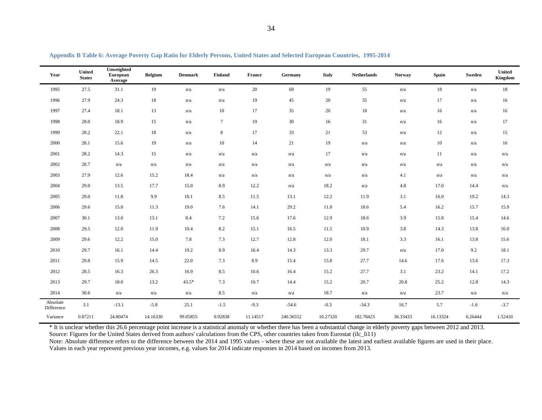<span id="page-33-0"></span>

|                        |                                | Unweighted          |                |                |         |                                       |                         |              |                    |               |          |                         |                         |
|------------------------|--------------------------------|---------------------|----------------|----------------|---------|---------------------------------------|-------------------------|--------------|--------------------|---------------|----------|-------------------------|-------------------------|
| Year                   | <b>United</b><br><b>States</b> | European<br>Average | <b>Belgium</b> | <b>Denmark</b> | Finland | $\ensuremath{\mathbf{France}}\xspace$ | Germany                 | <b>Italy</b> | <b>Netherlands</b> | <b>Norway</b> | Spain    | Sweden                  | United<br>Kingdom       |
| 1995                   | 27.5                           | 31.1                | 19             | n/a            | n/a     | 20                                    | 69                      | 19           | 55                 | n/a           | 18       | $\mathrm{n}/\mathrm{a}$ | 18                      |
| 1996                   | 27.9                           | 24.3                | 18             | n/a            | n/a     | 19                                    | 45                      | 20           | 35                 | n/a           | 17       | n/a                     | 16                      |
| 1997                   | 27.4                           | 18.1                | 13             | n/a            | 10      | 17                                    | 35                      | 20           | 18                 | n/a           | 16       | n/a                     | 16                      |
| 1998                   | 28.0                           | 18.9                | 15             | n/a            | $\tau$  | 19                                    | 30                      | 16           | 31                 | n/a           | 16       | n/a                     | 17                      |
| 1999                   | 28.2                           | 22.1                | 18             | n/a            | 8       | 17                                    | 33                      | 21           | 53                 | n/a           | 12       | n/a                     | 15                      |
| 2000                   | 28.1                           | 15.6                | 19             | n/a            | 10      | 14                                    | 21                      | 19           | n/a                | n/a           | 10       | n/a                     | 16                      |
| 2001                   | 28.2                           | 14.3                | 15             | n/a            | n/a     | n/a                                   | $\mathrm{n}/\mathrm{a}$ | 17           | n/a                | n/a           | 11       | $\mathrm{n}/\mathrm{a}$ | $\mathrm{n}/\mathrm{a}$ |
| 2002                   | 28.7                           | n/a                 | n/a            | n/a            | n/a     | n/a                                   | $\mathrm{n}/\mathrm{a}$ | n/a          | n/a                | n/a           | n/a      | n/a                     | n/a                     |
| 2003                   | 27.9                           | 12.6                | 15.2           | 18.4           | n/a     | n/a                                   | $\mathrm{n}/\mathrm{a}$ | n/a          | n/a                | 4.1           | n/a      | n/a                     | n/a                     |
| 2004                   | 29.0                           | 13.5                | 17.7           | 15.0           | 8.9     | 12.2                                  | $\mathbf{n}/\mathbf{a}$ | 18.2         | n/a                | 4.8           | 17.0     | 14.4                    | n/a                     |
| 2005                   | 29.0                           | 11.8                | 9.9            | 10.1           | 8.5     | 11.5                                  | 13.1                    | 12.2         | 11.9               | 3.1           | 16.0     | 19.2                    | 14.3                    |
| 2006                   | 29.6                           | 15.0                | 11.3           | 19.0           | 7.6     | 14.1                                  | 29.2                    | 11.8         | 18.6               | 5.4           | 16.2     | 15.7                    | 15.9                    |
| 2007                   | 30.1                           | 13.0                | 13.1           | 8.4            | 7.2     | 15.6                                  | 17.6                    | 12.9         | 18.6               | 3.9           | 15.8     | 15.4                    | 14.6                    |
| 2008                   | 29.5                           | 12.0                | 11.9           | 10.4           | 8.2     | 15.1                                  | 16.5                    | 11.5         | 10.9               | 3.8           | 14.3     | 13.8                    | 16.0                    |
| 2009                   | 29.6                           | 12.2                | 15.0           | 7.8            | 7.3     | 12.7                                  | 12.8                    | 12.0         | 18.1               | 3.3           | 16.1     | 13.8                    | 15.6                    |
| 2010                   | 29.7                           | 16.1                | 14.4           | 19.2           | 8.9     | 16.4                                  | 14.3                    | 13.3         | 29.7               | n/a           | 17.0     | 9.2                     | 18.1                    |
| 2011                   | 29.8                           | 15.9                | 14.5           | 22.0           | 7.3     | 8.9                                   | 15.4                    | 15.8         | 27.7               | 14.6          | 17.6     | 13.6                    | 17.3                    |
| 2012                   | 28.5                           | 16.3                | 26.3           | 16.9           | 8.5     | 10.6                                  | 16.4                    | 15.2         | 27.7               | 3.1           | 23.2     | 14.1                    | 17.2                    |
| 2013                   | 29.7                           | 18.0                | 13.2           | $43.5*$        | 7.3     | 10.7                                  | 14.4                    | 15.2         | 20.7               | 20.8          | 25.2     | 12.8                    | 14.3                    |
| 2014                   | 30.6                           | n/a                 | n/a            | n/a            | 8.5     | n/a                                   | n/a                     | 18.7         | n/a                | n/a           | 23.7     | n/a                     | n/a                     |
| Absolute<br>Difference | $3.1\,$                        | $-13.1$             | $-5.8$         | 25.1           | $-1.5$  | $-9.3$                                | $-54.6$                 | $-0.3$       | $-34.3$            | 16.7          | 5.7      | $-1.6$                  | $-3.7$                  |
| Variance               | 0.87211                        | 24.80474            | 14.16330       | 99.05855       | 0.92838 | 11.14517                              | 240.36552               | 10.27320     | 182.78423          | 36.33433      | 16.13324 | 6.26444                 | 1.52410                 |

**Appendix B Table 6: Average Poverty Gap Ratio for Elderly Persons, United States and Selected European Countries, 1995-2014**

\* It is unclear whether this 26.6 percentage point increase is a statistical anomaly or whether there has been a substantial change in elderly poverty gaps between 2012 and 2013. Source: Figures for the United States derived from authors' calculations from the CPS, other countries taken from Eurostat (ilc\_li11)

Note: Absolute difference refers to the difference between the 2014 and 1995 values - where these are not available the latest and earliest available figures are used in their place. Values in each year represent previous year incomes, e.g. values for 2014 indicate responses in 2014 based on incomes from 2013.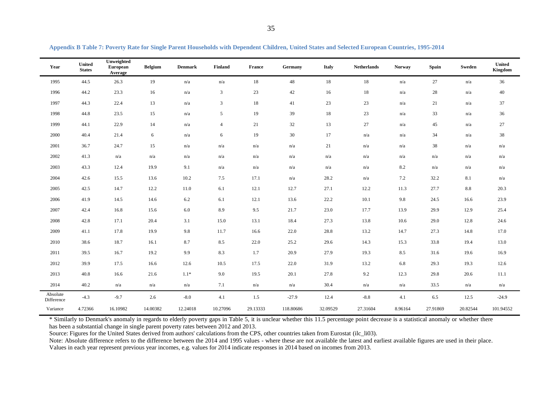<span id="page-34-0"></span>

| Year                   | <b>United</b><br><b>States</b> | Unweighted<br>European<br>Average | <b>Belgium</b> | <b>Denmark</b> | <b>Finland</b> | France                  | Germany   | <b>Italy</b> | <b>Netherlands</b> | <b>Norway</b> | <b>Spain</b> | Sweden   | <b>United</b><br>Kingdom |
|------------------------|--------------------------------|-----------------------------------|----------------|----------------|----------------|-------------------------|-----------|--------------|--------------------|---------------|--------------|----------|--------------------------|
| 1995                   | 44.5                           | 26.3                              | 19             | n/a            | n/a            | 18                      | 48        | 18           | 18                 | n/a           | 27           | n/a      | 36                       |
| 1996                   | 44.2                           | 23.3                              | 16             | n/a            | 3              | 23                      | 42        | 16           | 18                 | n/a           | 28           | n/a      | 40                       |
| 1997                   | 44.3                           | 22.4                              | 13             | n/a            | $\mathbf{3}$   | 18                      | 41        | 23           | 23                 | n/a           | 21           | n/a      | 37                       |
| 1998                   | 44.8                           | 23.5                              | 15             | n/a            | 5              | 19                      | 39        | 18           | 23                 | n/a           | 33           | n/a      | 36                       |
| 1999                   | 44.1                           | 22.9                              | 14             | n/a            | $\overline{4}$ | 21                      | 32        | 13           | 27                 | n/a           | 45           | n/a      | 27                       |
| 2000                   | 40.4                           | 21.4                              | 6              | n/a            | 6              | 19                      | 30        | 17           | n/a                | n/a           | 34           | n/a      | 38                       |
| 2001                   | 36.7                           | 24.7                              | 15             | n/a            | n/a            | n/a                     | n/a       | 21           | n/a                | n/a           | 38           | n/a      | n/a                      |
| 2002                   | 41.3                           | n/a                               | n/a            | n/a            | n/a            | $\mathrm{n}/\mathrm{a}$ | n/a       | n/a          | n/a                | n/a           | n/a          | n/a      | n/a                      |
| 2003                   | 43.3                           | 12.4                              | 19.9           | 9.1            | n/a            | $\mathrm{n}/\mathrm{a}$ | n/a       | n/a          | n/a                | 8.2           | n/a          | n/a      | n/a                      |
| 2004                   | 42.6                           | 15.5                              | 13.6           | 10.2           | 7.5            | 17.1                    | n/a       | 28.2         | n/a                | 7.2           | 32.2         | 8.1      | n/a                      |
| 2005                   | 42.5                           | 14.7                              | 12.2           | 11.0           | 6.1            | 12.1                    | 12.7      | 27.1         | 12.2               | 11.3          | 27.7         | $8.8\,$  | 20.3                     |
| 2006                   | 41.9                           | 14.5                              | 14.6           | 6.2            | 6.1            | 12.1                    | 13.6      | 22.2         | 10.1               | 9.8           | 24.5         | 16.6     | 23.9                     |
| 2007                   | 42.4                           | 16.8                              | 15.6           | 6.0            | 8.9            | 9.5                     | 21.7      | 23.0         | 17.7               | 13.9          | 29.9         | 12.9     | 25.4                     |
| 2008                   | 42.8                           | 17.1                              | 20.4           | 3.1            | 15.0           | 13.1                    | 18.4      | 27.3         | 13.8               | 10.6          | 29.0         | 12.8     | 24.6                     |
| 2009                   | 41.1                           | 17.8                              | 19.9           | 9.8            | 11.7           | 16.6                    | 22.0      | 28.8         | 13.2               | 14.7          | 27.3         | 14.8     | 17.0                     |
| 2010                   | 38.6                           | 18.7                              | 16.1           | 8.7            | 8.5            | 22.0                    | 25.2      | 29.6         | 14.3               | 15.3          | 33.8         | 19.4     | 13.0                     |
| 2011                   | 39.5                           | 16.7                              | 19.2           | 9.9            | 8.3            | 1.7                     | 20.9      | 27.9         | 19.3               | 8.5           | 31.6         | 19.6     | 16.9                     |
| 2012                   | 39.9                           | 17.5                              | 16.6           | 12.6           | 10.5           | 17.5                    | 22.0      | 31.9         | 13.2               | 6.8           | 29.3         | 19.3     | 12.6                     |
| 2013                   | 40.8                           | 16.6                              | 21.6           | $1.1*$         | 9.0            | 19.5                    | 20.1      | 27.8         | 9.2                | 12.3          | 29.8         | 20.6     | 11.1                     |
| 2014                   | 40.2                           | n/a                               | n/a            | n/a            | 7.1            | n/a                     | n/a       | 30.4         | n/a                | n/a           | 33.5         | n/a      | n/a                      |
| Absolute<br>Difference | $-4.3$                         | $-9.7$                            | 2.6            | $-8.0$         | 4.1            | 1.5                     | $-27.9$   | 12.4         | $-8.8$             | 4.1           | 6.5          | 12.5     | $-24.9$                  |
| Variance               | 4.72366                        | 16.10982                          | 14.00382       | 12.24018       | 10.27096       | 29.13333                | 118.80686 | 32.09529     | 27.31604           | 8.96164       | 27.91869     | 20.82544 | 101.94552                |

**Appendix B Table 7: Poverty Rate for Single Parent Households with Dependent Children, United States and Selected European Countries, 1995-2014**

\* Similarly to Denmark's anomaly in regards to elderly poverty gaps in Table 5, it is unclear whether this 11.5 percentage point decrease is a statistical anomaly or whether there has been a substantial change in single parent poverty rates between 2012 and 2013.

Source: Figures for the United States derived from authors' calculations from the CPS, other countries taken from Eurostat (ilc\_li03).

Note: Absolute difference refers to the difference between the 2014 and 1995 values - where these are not available the latest and earliest available figures are used in their place. Values in each year represent previous year incomes, e.g. values for 2014 indicate responses in 2014 based on incomes from 2013.